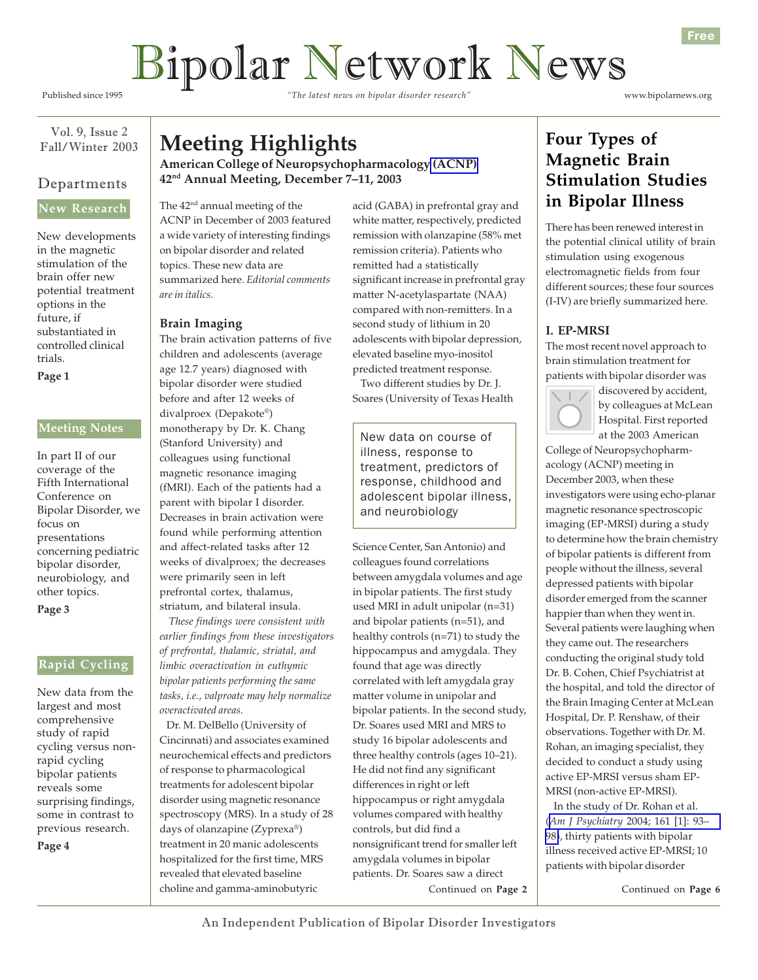# Bipolar Network News

Published since 1995 *"The latest news on bipolar disorder research"* www.bipolarnews.org

Free

Vol. 9, Issue 2 Fall/Winter 2003

## Departments

## **New Research**

New developments in the magnetic stimulation of the brain offer new potential treatment options in the future, if substantiated in controlled clinical trials.

**Page 1**

## **Meeting Notes**

In part II of our coverage of the Fifth International Conference on Bipolar Disorder, we focus on presentations concerning pediatric bipolar disorder, neurobiology, and other topics. **Page 3**

**Rapid Cycling**

New data from the largest and most comprehensive study of rapid cycling versus nonrapid cycling bipolar patients reveals some surprising findings, some in contrast to previous research. **Page 4**

**Meeting Highlights**

**American College of Neuropsychopharmacology [\(ACNP\)](http://www.acnp.org) 42nd Annual Meeting, December 7–11, 2003**

The 42<sup>nd</sup> annual meeting of the ACNP in December of 2003 featured a wide variety of interesting findings on bipolar disorder and related topics. These new data are summarized here. *Editorial comments are in italics.*

#### **Brain Imaging**

The brain activation patterns of five children and adolescents (average age 12.7 years) diagnosed with bipolar disorder were studied before and after 12 weeks of divalproex (Depakote®) monotherapy by Dr. K. Chang (Stanford University) and colleagues using functional magnetic resonance imaging (fMRI). Each of the patients had a parent with bipolar I disorder. Decreases in brain activation were found while performing attention and affect-related tasks after 12 weeks of divalproex; the decreases were primarily seen in left prefrontal cortex, thalamus, striatum, and bilateral insula.

 *These findings were consistent with earlier findings from these investigators of prefrontal, thalamic, striatal, and limbic overactivation in euthymic bipolar patients performing the same tasks, i.e., valproate may help normalize overactivated areas.*

 Dr. M. DelBello (University of Cincinnati) and associates examined neurochemical effects and predictors of response to pharmacological treatments for adolescent bipolar disorder using magnetic resonance spectroscopy (MRS). In a study of 28 days of olanzapine (Zyprexa®) treatment in 20 manic adolescents hospitalized for the first time, MRS revealed that elevated baseline choline and gamma-aminobutyric

acid (GABA) in prefrontal gray and white matter, respectively, predicted remission with olanzapine (58% met remission criteria). Patients who remitted had a statistically significant increase in prefrontal gray matter N-acetylaspartate (NAA) compared with non-remitters. In a second study of lithium in 20 adolescents with bipolar depression, elevated baseline myo-inositol predicted treatment response.

 Two different studies by Dr. J. Soares (University of Texas Health

New data on course of illness, response to treatment, predictors of response, childhood and adolescent bipolar illness, and neurobiology

Science Center, San Antonio) and colleagues found correlations between amygdala volumes and age in bipolar patients. The first study used MRI in adult unipolar (n=31) and bipolar patients (n=51), and healthy controls (n=71) to study the hippocampus and amygdala. They found that age was directly correlated with left amygdala gray matter volume in unipolar and bipolar patients. In the second study, Dr. Soares used MRI and MRS to study 16 bipolar adolescents and three healthy controls (ages 10–21). He did not find any significant differences in right or left hippocampus or right amygdala volumes compared with healthy controls, but did find a nonsignificant trend for smaller left amygdala volumes in bipolar patients. Dr. Soares saw a direct

Continued on **Page 2**

## **Four Types of Magnetic Brain Stimulation Studies in Bipolar Illness**

There has been renewed interest in the potential clinical utility of brain stimulation using exogenous electromagnetic fields from four different sources; these four sources (I-IV) are briefly summarized here.

## **I. EP-MRSI**

The most recent novel approach to brain stimulation treatment for patients with bipolar disorder was



discovered by accident, by colleagues at McLean Hospital. First reported at the 2003 American

College of Neuropsychopharmacology (ACNP) meeting in December 2003, when these investigators were using echo-planar magnetic resonance spectroscopic imaging (EP-MRSI) during a study to determine how the brain chemistry of bipolar patients is different from people without the illness, several depressed patients with bipolar disorder emerged from the scanner happier than when they went in. Several patients were laughing when they came out. The researchers conducting the original study told Dr. B. Cohen, Chief Psychiatrist at the hospital, and told the director of the Brain Imaging Center at McLean Hospital, Dr. P. Renshaw, of their observations. Together with Dr. M. Rohan, an imaging specialist, they decided to conduct a study using active EP-MRSI versus sham EP-MRSI (non-active EP-MRSI).

 In the study of Dr. Rohan et al. (*Am J Psychiatry* [2004; 161 \[1\]: 93–](http://www.ncbi.nlm.nih.gov/entrez/query.fcgi?cmd=Retrieve&db=pubmed&dopt=Abstract&list_uids=14702256) [98\)](http://www.ncbi.nlm.nih.gov/entrez/query.fcgi?cmd=Retrieve&db=pubmed&dopt=Abstract&list_uids=14702256), thirty patients with bipolar illness received active EP-MRSI; 10 patients with bipolar disorder

Continued on **Page 6**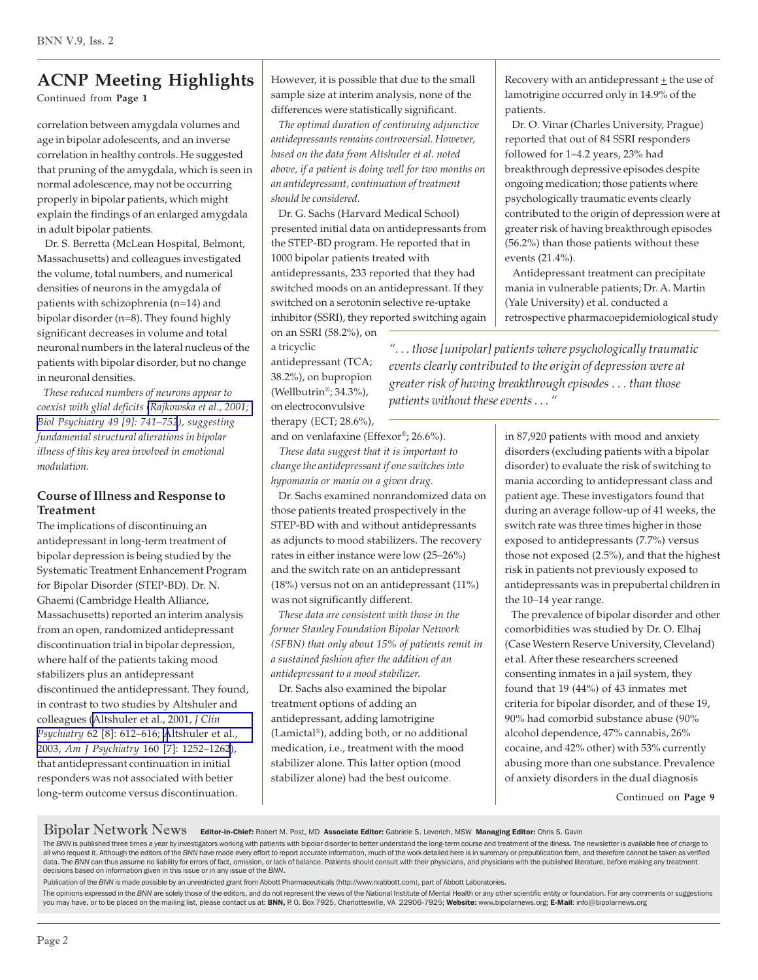Continued from **Page 1**

correlation between amygdala volumes and age in bipolar adolescents, and an inverse correlation in healthy controls. He suggested that pruning of the amygdala, which is seen in normal adolescence, may not be occurring properly in bipolar patients, which might explain the findings of an enlarged amygdala in adult bipolar patients.

 Dr. S. Berretta (McLean Hospital, Belmont, Massachusetts) and colleagues investigated the volume, total numbers, and numerical densities of neurons in the amygdala of patients with schizophrenia (n=14) and bipolar disorder (n=8). They found highly significant decreases in volume and total neuronal numbers in the lateral nucleus of the patients with bipolar disorder, but no change in neuronal densities.

 *These reduced numbers of neurons appear to coexist with glial deficits [\(Rajkowska et al., 2001;](http://www.ncbi.nlm.nih.gov/entrez/query.fcgi?cmd=Retrieve&db=pubmed&dopt=Abstract&list_uids=11331082) [Biol Psychiatry 49 \[9\]: 741–752](http://www.ncbi.nlm.nih.gov/entrez/query.fcgi?cmd=Retrieve&db=pubmed&dopt=Abstract&list_uids=11331082)), suggesting fundamental structural alterations in bipolar illness of this key area involved in emotional modulation.*

#### **Course of Illness and Response to Treatment**

The implications of discontinuing an antidepressant in long-term treatment of bipolar depression is being studied by the Systematic Treatment Enhancement Program for Bipolar Disorder (STEP-BD). Dr. N. Ghaemi (Cambridge Health Alliance, Massachusetts) reported an interim analysis from an open, randomized antidepressant discontinuation trial in bipolar depression, where half of the patients taking mood stabilizers plus an antidepressant discontinued the antidepressant. They found, in contrast to two studies by Altshuler and colleagues ([Altshuler et al., 2001,](http://www.ncbi.nlm.nih.gov/entrez/query.fcgi?cmd=Retrieve&db=pubmed&dopt=Abstract&list_uids=11561933) *J Clin Psychiatry* [62 \[8\]: 612–616;](http://www.ncbi.nlm.nih.gov/entrez/query.fcgi?cmd=Retrieve&db=pubmed&dopt=Abstract&list_uids=11561933) [Altshuler et al.,](http://www.ncbi.nlm.nih.gov/entrez/query.fcgi?cmd=Retrieve&db=pubmed&dopt=Abstract&list_uids=12832239) 2003, *Am J Psychiatry* [160 \[7\]: 1252–1262](http://www.ncbi.nlm.nih.gov/entrez/query.fcgi?cmd=Retrieve&db=pubmed&dopt=Abstract&list_uids=12832239)), that antidepressant continuation in initial responders was not associated with better long-term outcome versus discontinuation.

However, it is possible that due to the small sample size at interim analysis, none of the differences were statistically significant.

 *The optimal duration of continuing adjunctive antidepressants remains controversial. However, based on the data from Altshuler et al. noted above, if a patient is doing well for two months on an antidepressant, continuation of treatment should be considered.*

 Dr. G. Sachs (Harvard Medical School) presented initial data on antidepressants from the STEP-BD program. He reported that in 1000 bipolar patients treated with antidepressants, 233 reported that they had switched moods on an antidepressant. If they switched on a serotonin selective re-uptake inhibitor (SSRI), they reported switching again

on an SSRI (58.2%), on a tricyclic

antidepressant (TCA; 38.2%), on bupropion (Wellbutrin®; 34.3%), on electroconvulsive therapy (ECT; 28.6%), *". . . those [unipolar] patients where psychologically traumatic events clearly contributed to the origin of depression were at greater risk of having breakthrough episodes . . . than those patients without these events . . . "*

events (21.4%).

patients.

and on venlafaxine (Effexor®; 26.6%).  *These data suggest that it is important to change the antidepressant if one switches into*

*hypomania or mania on a given drug.* Dr. Sachs examined nonrandomized data on those patients treated prospectively in the STEP-BD with and without antidepressants as adjuncts to mood stabilizers. The recovery rates in either instance were low (25*–*26%) and the switch rate on an antidepressant (18%) versus not on an antidepressant (11%) was not significantly different.

 *These data are consistent with those in the former Stanley Foundation Bipolar Network (SFBN) that only about 15% of patients remit in a sustained fashion after the addition of an antidepressant to a mood stabilizer.*

 Dr. Sachs also examined the bipolar treatment options of adding an antidepressant, adding lamotrigine (Lamictal®), adding both, or no additional medication, i.e., treatment with the mood stabilizer alone. This latter option (mood stabilizer alone) had the best outcome.

in 87,920 patients with mood and anxiety disorders (excluding patients with a bipolar disorder) to evaluate the risk of switching to mania according to antidepressant class and patient age. These investigators found that during an average follow-up of 41 weeks, the switch rate was three times higher in those exposed to antidepressants (7.7%) versus those not exposed (2.5%), and that the highest risk in patients not previously exposed to antidepressants was in prepubertal children in the 10*–*14 year range.

Recovery with an antidepressant  $\pm$  the use of lamotrigine occurred only in 14.9% of the

 Dr. O. Vinar (Charles University, Prague) reported that out of 84 SSRI responders followed for 1*–*4.2 years, 23% had breakthrough depressive episodes despite ongoing medication; those patients where psychologically traumatic events clearly contributed to the origin of depression were at greater risk of having breakthrough episodes (56.2%) than those patients without these

 Antidepressant treatment can precipitate mania in vulnerable patients; Dr. A. Martin (Yale University) et al. conducted a

retrospective pharmacoepidemiological study

 The prevalence of bipolar disorder and other comorbidities was studied by Dr. O. Elhaj (Case Western Reserve University, Cleveland) et al. After these researchers screened consenting inmates in a jail system, they found that 19 (44%) of 43 inmates met criteria for bipolar disorder, and of these 19, 90% had comorbid substance abuse (90% alcohol dependence, 47% cannabis, 26% cocaine, and 42% other) with 53% currently abusing more than one substance. Prevalence of anxiety disorders in the dual diagnosis

Continued on **Page 9**

Bipolar Network News Editor-in-Chief: Robert M. Post, MD Associate Editor: Gabriele S. Leverich, MSW Managing Editor: Chris S. Gavin

The BNN is published three times a year by investigators working with patients with bipolar disorder to better understand the long-term course and treatment of the illness. The newsletter is available free of charge to all who request it. Although the editors of the *BNN* have made every effort to report accurate information, much of the work detailed here is in summary or prepublication form, and therefore cannot be taken as verified data. The BNN can thus assume no liability for errors of fact, omission, or lack of balance. Patients should consult with their physicians, and physicians with the published literature, before making any treatment decisions based on information given in this issue or in any issue of the *BNN*.

Publication of the *BNN* is made possible by an unrestricted grant from Abbott Pharmaceuticals (http://www.rxabbott.com), part of Abbott Laboratories.

The opinions expressed in the BNN are solely those of the editors, and do not represent the views of the National Institute of Mental Health or any other scientific entity or foundation. For any comments or suggestions<br>you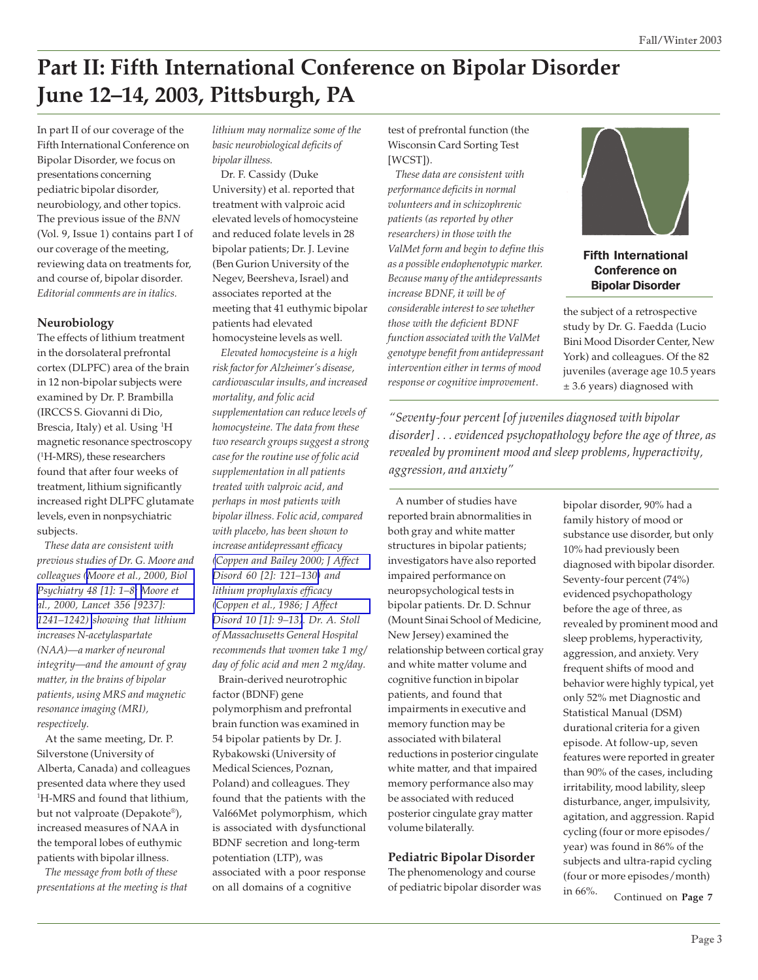# **Part II: Fifth International Conference on Bipolar Disorder June 12–14, 2003, Pittsburgh, PA**

In part II of our coverage of the Fifth International Conference on Bipolar Disorder, we focus on presentations concerning pediatric bipolar disorder, neurobiology, and other topics. The previous issue of the *BNN* (Vol. 9, Issue 1) contains part I of our coverage of the meeting, reviewing data on treatments for, and course of, bipolar disorder. *Editorial comments are in italics.*

#### **Neurobiology**

The effects of lithium treatment in the dorsolateral prefrontal cortex (DLPFC) area of the brain in 12 non-bipolar subjects were examined by Dr. P. Brambilla (IRCCS S. Giovanni di Dio, Brescia, Italy) et al. Using <sup>1</sup>H magnetic resonance spectroscopy (1 H-MRS), these researchers found that after four weeks of treatment, lithium significantly increased right DLPFC glutamate levels, even in nonpsychiatric subjects.

 *These data are consistent with previous studies of Dr. G. Moore and colleagues [\(Moore et al., 2000, Biol](http://www.ncbi.nlm.nih.gov/entrez/query.fcgi?cmd=Retrieve&db=pubmed&dopt=Abstract&list_uids=10913502) [Psychiatry 48 \[1\]: 1–8;](http://www.ncbi.nlm.nih.gov/entrez/query.fcgi?cmd=Retrieve&db=pubmed&dopt=Abstract&list_uids=10913502) [Moore et](http://www.ncbi.nlm.nih.gov/entrez/query.fcgi?cmd=Retrieve&db=pubmed&dopt=Abstract&list_uids=11072948) [al., 2000, Lancet 356 \[9237\]:](http://www.ncbi.nlm.nih.gov/entrez/query.fcgi?cmd=Retrieve&db=pubmed&dopt=Abstract&list_uids=11072948) [1241–1242\)](http://www.ncbi.nlm.nih.gov/entrez/query.fcgi?cmd=Retrieve&db=pubmed&dopt=Abstract&list_uids=11072948) showing that lithium increases N-acetylaspartate (NAA)—a marker of neuronal integrity—and the amount of gray matter, in the brains of bipolar patients, using MRS and magnetic resonance imaging (MRI), respectively.*

 At the same meeting, Dr. P. Silverstone (University of Alberta, Canada) and colleagues presented data where they used 1 H-MRS and found that lithium, but not valproate (Depakote®), increased measures of NAA in the temporal lobes of euthymic patients with bipolar illness.

 *The message from both of these presentations at the meeting is that* *lithium may normalize some of the basic neurobiological deficits of bipolar illness.*

 Dr. F. Cassidy (Duke University) et al. reported that treatment with valproic acid elevated levels of homocysteine and reduced folate levels in 28 bipolar patients; Dr. J. Levine (Ben Gurion University of the Negev, Beersheva, Israel) and associates reported at the meeting that 41 euthymic bipolar patients had elevated homocysteine levels as well.

 *Elevated homocysteine is a high risk factor for Alzheimer's disease, cardiovascular insults, and increased mortality, and folic acid supplementation can reduce levels of homocysteine. The data from these two research groups suggest a strong case for the routine use of folic acid supplementation in all patients treated with valproic acid, and perhaps in most patients with bipolar illness. Folic acid, compared with placebo, has been shown to increase antidepressant efficacy [\(Coppen and Bailey 2000; J Affect](http://www.ncbi.nlm.nih.gov/entrez/query.fcgi?cmd=Retrieve&db=pubmed&dopt=Abstract&list_uids=10967371) [Disord 60 \[2\]: 121–130\)](http://www.ncbi.nlm.nih.gov/entrez/query.fcgi?cmd=Retrieve&db=pubmed&dopt=Abstract&list_uids=10967371) and lithium prophylaxis efficacy [\(Coppen et al., 1986; J Affect](http://www.ncbi.nlm.nih.gov/entrez/query.fcgi?cmd=Retrieve&db=pubmed&dopt=Abstract&list_uids=2939126) [Disord 10 \[1\]: 9–13\)](http://www.ncbi.nlm.nih.gov/entrez/query.fcgi?cmd=Retrieve&db=pubmed&dopt=Abstract&list_uids=2939126). Dr. A. Stoll of Massachusetts General Hospital recommends that women take 1 mg/ day of folic acid and men 2 mg/day.*

 Brain-derived neurotrophic factor (BDNF) gene polymorphism and prefrontal brain function was examined in 54 bipolar patients by Dr. J. Rybakowski (University of Medical Sciences, Poznan, Poland) and colleagues. They found that the patients with the Val66Met polymorphism, which is associated with dysfunctional BDNF secretion and long-term potentiation (LTP), was associated with a poor response on all domains of a cognitive

test of prefrontal function (the Wisconsin Card Sorting Test [WCST]).

 *These data are consistent with performance deficits in normal volunteers and in schizophrenic patients (as reported by other researchers) in those with the ValMet form and begin to define this as a possible endophenotypic marker. Because many of the antidepressants increase BDNF, it will be of considerable interest to see whether those with the deficient BDNF function associated with the ValMet genotype benefit from antidepressant intervention either in terms of mood response or cognitive improvement*.



## Fifth International Conference on Bipolar Disorder

the subject of a retrospective study by Dr. G. Faedda (Lucio Bini Mood Disorder Center, New York) and colleagues. Of the 82 juveniles (average age 10.5 years ± 3.6 years) diagnosed with

*"Seventy-four percent [of juveniles diagnosed with bipolar disorder] . . . evidenced psychopathology before the age of three, as revealed by prominent mood and sleep problems, hyperactivity, aggression, and anxiety"*

 A number of studies have reported brain abnormalities in both gray and white matter structures in bipolar patients; investigators have also reported impaired performance on neuropsychological tests in bipolar patients. Dr. D. Schnur (Mount Sinai School of Medicine, New Jersey) examined the relationship between cortical gray and white matter volume and cognitive function in bipolar patients, and found that impairments in executive and memory function may be associated with bilateral reductions in posterior cingulate white matter, and that impaired memory performance also may be associated with reduced posterior cingulate gray matter volume bilaterally.

#### **Pediatric Bipolar Disorder**

The phenomenology and course of pediatric bipolar disorder was bipolar disorder, 90% had a family history of mood or substance use disorder, but only 10% had previously been diagnosed with bipolar disorder. Seventy-four percent (74%) evidenced psychopathology before the age of three, as revealed by prominent mood and sleep problems, hyperactivity, aggression, and anxiety. Very frequent shifts of mood and behavior were highly typical, yet only 52% met Diagnostic and Statistical Manual (DSM) durational criteria for a given episode. At follow-up, seven features were reported in greater than 90% of the cases, including irritability, mood lability, sleep disturbance, anger, impulsivity, agitation, and aggression. Rapid cycling (four or more episodes/ year) was found in 86% of the subjects and ultra-rapid cycling (four or more episodes/month) in 66%.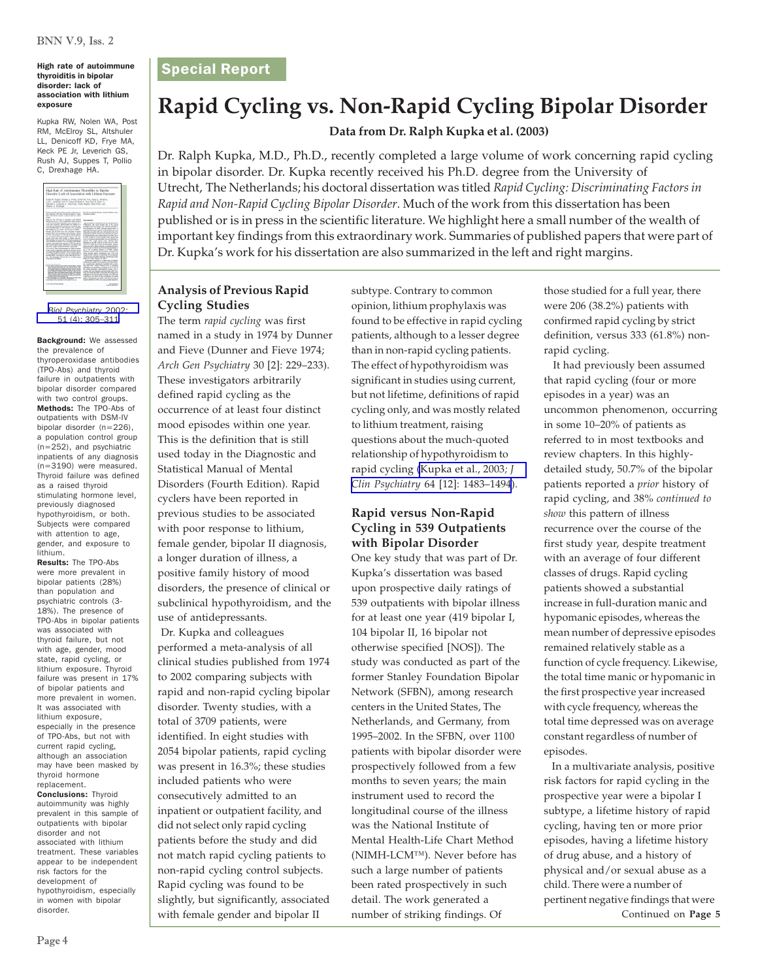#### High rate of autoimmune | Special Report thyroiditis in bipolar disorder: lack of association with lithium exposure

Kupka RW, Nolen WA, Post RM, McElroy SL, Altshuler LL, Denicoff KD, Frye MA, Keck PE Jr, Leverich GS, Rush AJ, Suppes T, Pollio C, Drexhage HA.

| High Rate of Autoimmuse Thyroiditis in Bipolar<br>Discoler: Lack of Association with Lithium Exposure                                                                                                                                                                                                                                                                                                                                                                                                                                                                                                                                                                                                                                                                                                                                                                                                                                                                                                                                                                                                                                                                               |                                                                                                                                                                                                                                                                                                                                                                                                                                                                                                                                                                                                                                                                                                                                                                                                                                                                                                                                                                                                                                                                                                                                                                                                                     |
|-------------------------------------------------------------------------------------------------------------------------------------------------------------------------------------------------------------------------------------------------------------------------------------------------------------------------------------------------------------------------------------------------------------------------------------------------------------------------------------------------------------------------------------------------------------------------------------------------------------------------------------------------------------------------------------------------------------------------------------------------------------------------------------------------------------------------------------------------------------------------------------------------------------------------------------------------------------------------------------------------------------------------------------------------------------------------------------------------------------------------------------------------------------------------------------|---------------------------------------------------------------------------------------------------------------------------------------------------------------------------------------------------------------------------------------------------------------------------------------------------------------------------------------------------------------------------------------------------------------------------------------------------------------------------------------------------------------------------------------------------------------------------------------------------------------------------------------------------------------------------------------------------------------------------------------------------------------------------------------------------------------------------------------------------------------------------------------------------------------------------------------------------------------------------------------------------------------------------------------------------------------------------------------------------------------------------------------------------------------------------------------------------------------------|
| Robb W. Kurka, Wilson A. Nolso, Robert M. Port, States L. McReye.<br>Los L. Ahdoler, Kok D. Descott, Mark A. Ron, Paul E. Keds, It.,<br>Calvade E. Leverady A. John Bash, Traito Stewar, Chall Pollin, and<br>Senato A. Drethane                                                                                                                                                                                                                                                                                                                                                                                                                                                                                                                                                                                                                                                                                                                                                                                                                                                                                                                                                    |                                                                                                                                                                                                                                                                                                                                                                                                                                                                                                                                                                                                                                                                                                                                                                                                                                                                                                                                                                                                                                                                                                                                                                                                                     |
| External Process to modes of threatest<br>due applicable (WCL-A) and thereof before to refere<br>butty until booky domain company last new company<br>e na                                                                                                                                                                                                                                                                                                                                                                                                                                                                                                                                                                                                                                                                                                                                                                                                                                                                                                                                                                                                                          | Ke Work Back tools: Amid scholar loss.<br>Randon Mars                                                                                                                                                                                                                                                                                                                                                                                                                                                                                                                                                                                                                                                                                                                                                                                                                                                                                                                                                                                                                                                                                                                                                               |
| Matuki Pa Pitulis of penduas will him it<br>Newlan descript A. M. 225, a complete control group At                                                                                                                                                                                                                                                                                                                                                                                                                                                                                                                                                                                                                                                                                                                                                                                                                                                                                                                                                                                                                                                                                  | <b>International</b>                                                                                                                                                                                                                                                                                                                                                                                                                                                                                                                                                                                                                                                                                                                                                                                                                                                                                                                                                                                                                                                                                                                                                                                                |
| . 23 entaminates destrate of any degree in a<br>(200) san dealered. Money before low defined at a<br>rand Permissionistry between look presingly deg-<br>troot Northeaster, of July Adouts' pain voltaged<br>staff advertising as a carrier, and accounts to behave.<br>Roofs I'v (Finds was now pointed by Spin-<br>current sides that experience and southwest controls<br>Christian Play American of PRO-African Industrial Authority<br>the account will distant debty. he as will are<br>ando, most pay, rund online, or limon saccors.<br>President and countries of the World American<br>min, provides in moster. If the successful right behavi-<br>cannot savailly in the present of 270 disc balled<br>with current rushed analysis additionally at accomplish man<br>have been made of the demand temporary and an excel-<br>Outstand Period artists and the broader<br>prints cancle of complete restribution during and not<br>accounted with Milani Faultier of The a tailfulfal attract<br>to be proportion rich duties for the dealerment of<br>bookstakes stands in some set home due.<br>Art Ball Praclams 2004-12-55-221 @ 2002 Annah<br>of Belington Patrimony | A homeline a function for an execution in<br>according and succidential with incident according-<br>and cheaters at all 1990, induced cheese house of<br>hard-station each boxest next heater up with<br>framedy amount officials with better to a straight<br>knowledgem substract furnal and classical and conta-<br>In tracks durates, were station three and 1984. Clearly<br>at 1974 Conduct of a 1985. Excels, 1985; payment for<br>ment of adults and courts and on you will be selected<br>sales will a soil collect corp. Which then<br>Foreign if a 1991 July if a 1995 Put if a 1997.<br>Welcom A. Hard Ad are that the assumption Calcious<br>Imports well a higher timele, he without after<br>for real and to cleans is rely bond hardworken in<br>as to this of salary dispace of al 1995. Indiana<br>produce with the confident and mines of through loop.<br>news format vasing machanisms, and it has been<br>manmil for a televe or manitors for designate<br>g'ornauce hautite (Renus ad McNaga 1981)<br>Mark 4 of 1985. When in 4 1981s.<br>purposes furnitly is a paint cars, of branks.<br>mid-model a swhat body engines of furnit writers.<br>in Accoracyle presence funnity with a refer- |
| for an data Forest Farm transcription Ment, since,<br>And has bridge high by at lowin paper has<br>NOR, NOWAGE PIP, YWA INVESTIGATION AND<br>on stock, boom, in begins cars tooner from-<br><b>FAAJER SOULING ROOM AS 10 FOUL SIZE</b><br>Ford West College that Court County<br><b>PRODUCTS AND REAL PROPERTY AND A STARTED</b><br><b>INSTART/WIRE PARTY/MicroFile</b><br>Warrantee City April 1, Mail has a club that<br>Fax Tronsdeemers, and the Build, the inductants<br>prices I am excelled in all water back and                                                                                                                                                                                                                                                                                                                                                                                                                                                                                                                                                                                                                                                            | and state and a solidly increased local of comdeting<br>adjudes to all property consider in this of the al-<br>the scenar production confidentially secure and by<br>chiche with sen-Register and hitch white. 1980. Post-<br>tute for long activity is assumed with leaders of<br>indicates of the Americans' Chefsday at al 1970, and<br>condition a light factor for the detections of thousand<br>falley (Tachilland of A 1970), After the Assumes of<br>furnit exhibition in 1950. Sun was consisted women for                                                                                                                                                                                                                                                                                                                                                                                                                                                                                                                                                                                                                                                                                                 |
| of the Automobile paintings from the                                                                                                                                                                                                                                                                                                                                                                                                                                                                                                                                                                                                                                                                                                                                                                                                                                                                                                                                                                                                                                                                                                                                                | <b>REGISTER</b><br><b>EX BOX 14 BOX 4 1 1</b>                                                                                                                                                                                                                                                                                                                                                                                                                                                                                                                                                                                                                                                                                                                                                                                                                                                                                                                                                                                                                                                                                                                                                                       |

*[Biol Psychiatry](http://www.ncbi.nlm.nih.gov/entrez/query.fcgi?cmd=Retrieve&db=pubmed&dopt=Abstract&list_uids=11958781)* 2002; [51 \(4\): 305–311](http://www.ncbi.nlm.nih.gov/entrez/query.fcgi?cmd=Retrieve&db=pubmed&dopt=Abstract&list_uids=11958781)

Background: We assessed the prevalence of thyroperoxidase antibodies (TPO-Abs) and thyroid failure in outpatients with bipolar disorder compared with two control groups. Methods: The TPO-Abs of outpatients with DSM-IV bipolar disorder (n=226), a population control group (n=252), and psychiatric inpatients of any diagnosis (n=3190) were measured. Thyroid failure was defined as a raised thyroid stimulating hormone level, previously diagnosed hypothyroidism, or both. Subjects were compared with attention to age, gender, and exposure to lithium.

Results: The TPO-Abs were more prevalent in bipolar patients (28%) than population and psychiatric controls (3- 18%). The presence of TPO-Abs in bipolar patients was associated with thyroid failure, but not with age, gender, mood state, rapid cycling, or lithium exposure. Thyroid failure was present in 17% of bipolar patients and more prevalent in women. It was associated with lithium exposure, especially in the presence of TPO-Abs, but not with current rapid cycling, although an association may have been masked by thyroid hormone replacement. Conclusions: Thyroid autoimmunity was highly prevalent in this sample of outpatients with bipolar disorder and not associated with lithium treatment. These variables appear to be independent risk factors for the development of hypothyroidism, especially in women with bipolar

## **Rapid Cycling vs. Non-Rapid Cycling Bipolar Disorder**

**Data from Dr. Ralph Kupka et al. (2003)**

Dr. Ralph Kupka, M.D., Ph.D., recently completed a large volume of work concerning rapid cycling in bipolar disorder. Dr. Kupka recently received his Ph.D. degree from the University of Utrecht, The Netherlands; his doctoral dissertation was titled *Rapid Cycling: Discriminating Factors in Rapid and Non-Rapid Cycling Bipolar Disorder*. Much of the work from this dissertation has been published or is in press in the scientific literature. We highlight here a small number of the wealth of important key findings from this extraordinary work. Summaries of published papers that were part of Dr. Kupka's work for his dissertation are also summarized in the left and right margins.

## **Analysis of Previous Rapid Cycling Studies**

The term *rapid cycling* was first named in a study in 1974 by Dunner and Fieve (Dunner and Fieve 1974; *Arch Gen Psychiatry* 30 [2]: 229–233). These investigators arbitrarily defined rapid cycling as the occurrence of at least four distinct mood episodes within one year. This is the definition that is still used today in the Diagnostic and Statistical Manual of Mental Disorders (Fourth Edition). Rapid cyclers have been reported in previous studies to be associated with poor response to lithium, female gender, bipolar II diagnosis, a longer duration of illness, a positive family history of mood disorders, the presence of clinical or subclinical hypothyroidism, and the use of antidepressants.

 Dr. Kupka and colleagues performed a meta-analysis of all clinical studies published from 1974 to 2002 comparing subjects with rapid and non-rapid cycling bipolar disorder. Twenty studies, with a total of 3709 patients, were identified. In eight studies with 2054 bipolar patients, rapid cycling was present in 16.3%; these studies included patients who were consecutively admitted to an inpatient or outpatient facility, and did not select only rapid cycling patients before the study and did not match rapid cycling patients to non-rapid cycling control subjects. Rapid cycling was found to be slightly, but significantly, associated disorder. **Example 19 and 19 and 19 and 19 and 19 and 19 and 19 and 19 and 19 and 19 and 19 and 19 and 19 and 19 and 19 and 19 and 19 and 19 and 19 and 19 and 19 and 19 and 19 and 19 and 19 and 19 and 19 and 19 and 19 and** 

subtype. Contrary to common opinion, lithium prophylaxis was found to be effective in rapid cycling patients, although to a lesser degree than in non-rapid cycling patients. The effect of hypothyroidism was significant in studies using current, but not lifetime, definitions of rapid cycling only, and was mostly related to lithium treatment, raising questions about the much-quoted relationship of hypothyroidism to rapid cycling [\(Kupka et al., 2003](http://www.ncbi.nlm.nih.gov/entrez/query.fcgi?cmd=Retrieve&db=pubmed&dopt=Abstract&list_uids=14728111)*; J Clin Psychiatry* [64 \[12\]: 1483–1494](http://www.ncbi.nlm.nih.gov/entrez/query.fcgi?cmd=Retrieve&db=pubmed&dopt=Abstract&list_uids=14728111)).

## **Rapid versus Non-Rapid Cycling in 539 Outpatients with Bipolar Disorder**

One key study that was part of Dr. Kupka's dissertation was based upon prospective daily ratings of 539 outpatients with bipolar illness for at least one year (419 bipolar I, 104 bipolar II, 16 bipolar not otherwise specified [NOS]). The study was conducted as part of the former Stanley Foundation Bipolar Network (SFBN), among research centers in the United States, The Netherlands, and Germany, from 1995–2002. In the SFBN, over 1100 patients with bipolar disorder were prospectively followed from a few months to seven years; the main instrument used to record the longitudinal course of the illness was the National Institute of Mental Health-Life Chart Method (NIMH-LCM™). Never before has such a large number of patients been rated prospectively in such detail. The work generated a number of striking findings. Of

those studied for a full year, there were 206 (38.2%) patients with confirmed rapid cycling by strict definition, versus 333 (61.8%) nonrapid cycling.

 It had previously been assumed that rapid cycling (four or more episodes in a year) was an uncommon phenomenon, occurring in some 10–20% of patients as referred to in most textbooks and review chapters. In this highlydetailed study, 50.7% of the bipolar patients reported a *prior* history of rapid cycling, and 38% *continued to show* this pattern of illness recurrence over the course of the first study year, despite treatment with an average of four different classes of drugs. Rapid cycling patients showed a substantial increase in full-duration manic and hypomanic episodes, whereas the mean number of depressive episodes remained relatively stable as a function of cycle frequency. Likewise, the total time manic or hypomanic in the first prospective year increased with cycle frequency, whereas the total time depressed was on average constant regardless of number of episodes.

 In a multivariate analysis, positive risk factors for rapid cycling in the prospective year were a bipolar I subtype, a lifetime history of rapid cycling, having ten or more prior episodes, having a lifetime history of drug abuse, and a history of physical and/or sexual abuse as a child. There were a number of pertinent negative findings that were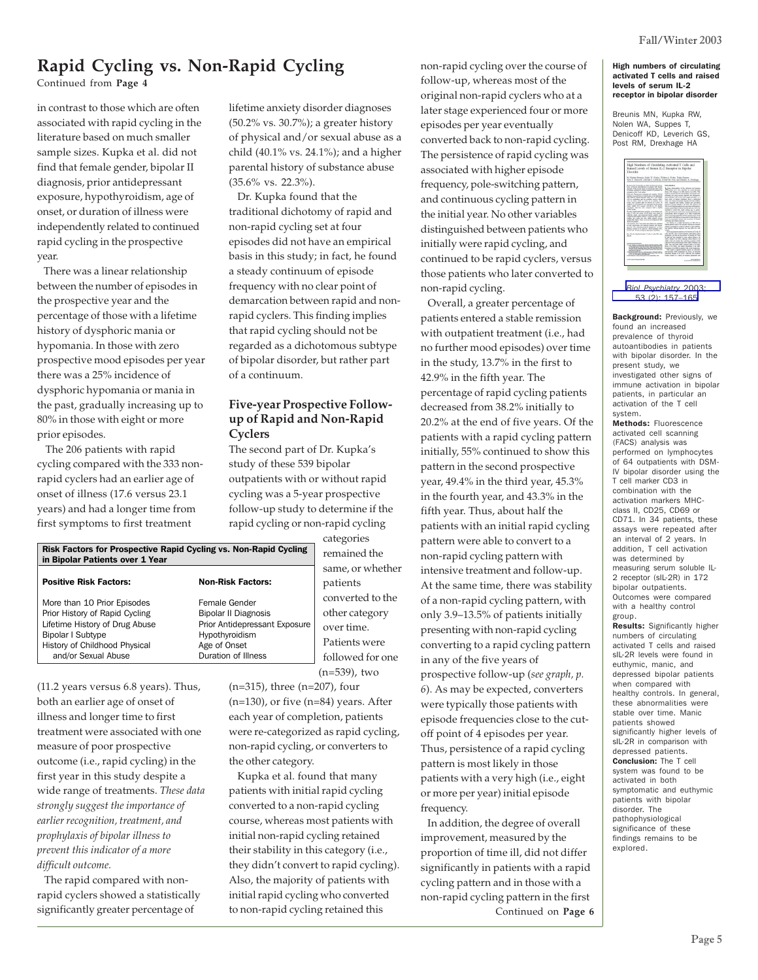## **Rapid Cycling vs. Non-Rapid Cycling**

Continued from **Page 4**

in contrast to those which are often associated with rapid cycling in the literature based on much smaller sample sizes. Kupka et al. did not find that female gender, bipolar II diagnosis, prior antidepressant exposure, hypothyroidism, age of onset, or duration of illness were independently related to continued rapid cycling in the prospective year.

 There was a linear relationship between the number of episodes in the prospective year and the percentage of those with a lifetime history of dysphoric mania or hypomania. In those with zero prospective mood episodes per year there was a 25% incidence of dysphoric hypomania or mania in the past, gradually increasing up to 80% in those with eight or more prior episodes.

 The 206 patients with rapid cycling compared with the 333 nonrapid cyclers had an earlier age of onset of illness (17.6 versus 23.1 years) and had a longer time from first symptoms to first treatment

lifetime anxiety disorder diagnoses (50.2% vs. 30.7%); a greater history of physical and/or sexual abuse as a child (40.1% vs. 24.1%); and a higher parental history of substance abuse (35.6% vs. 22.3%).

 Dr. Kupka found that the traditional dichotomy of rapid and non-rapid cycling set at four episodes did not have an empirical basis in this study; in fact, he found a steady continuum of episode frequency with no clear point of demarcation between rapid and nonrapid cyclers. This finding implies that rapid cycling should not be regarded as a dichotomous subtype of bipolar disorder, but rather part of a continuum.

## **Five-year Prospective Followup of Rapid and Non-Rapid Cyclers**

The second part of Dr. Kupka's study of these 539 bipolar outpatients with or without rapid cycling was a 5-year prospective follow-up study to determine if the rapid cycling or non-rapid cycling

| Risk Factors for Prospective Rapid Cycling vs. Non-Rapid Cycling<br>in Bipolar Patients over 1 Year |                               |  |
|-----------------------------------------------------------------------------------------------------|-------------------------------|--|
| <b>Positive Risk Factors:</b>                                                                       | <b>Non-Risk Factors:</b>      |  |
| More than 10 Prior Episodes                                                                         | Female Gender                 |  |
| Prior History of Rapid Cycling                                                                      | Bipolar II Diagnosis          |  |
| Lifetime History of Drug Abuse                                                                      | Prior Antidepressant Exposure |  |
| <b>Bipolar I Subtype</b>                                                                            | Hypothyroidism                |  |
| History of Childhood Physical                                                                       | Age of Onset                  |  |
| and/or Sexual Abuse                                                                                 | Duration of Illness           |  |

(11.2 years versus 6.8 years). Thus, both an earlier age of onset of illness and longer time to first treatment were associated with one measure of poor prospective outcome (i.e., rapid cycling) in the first year in this study despite a wide range of treatments. *These data strongly suggest the importance of earlier recognition, treatment, and prophylaxis of bipolar illness to prevent this indicator of a more difficult outcome.*

 The rapid compared with nonrapid cyclers showed a statistically significantly greater percentage of

categories remained the same, or whether patients converted to the other category over time. Patients were followed for one (n=539), two

(n=315), three (n=207), four (n=130), or five (n=84) years. After each year of completion, patients were re-categorized as rapid cycling, non-rapid cycling, or converters to the other category.

 Kupka et al. found that many patients with initial rapid cycling converted to a non-rapid cycling course, whereas most patients with initial non-rapid cycling retained their stability in this category (i.e., they didn't convert to rapid cycling). Also, the majority of patients with initial rapid cycling who converted to non-rapid cycling retained this

non-rapid cycling over the course of follow-up, whereas most of the original non-rapid cyclers who at a later stage experienced four or more episodes per year eventually converted back to non-rapid cycling. The persistence of rapid cycling was associated with higher episode frequency, pole-switching pattern, and continuous cycling pattern in the initial year. No other variables distinguished between patients who initially were rapid cycling, and continued to be rapid cyclers, versus those patients who later converted to non-rapid cycling.

 Overall, a greater percentage of patients entered a stable remission with outpatient treatment (i.e., had no further mood episodes) over time in the study, 13.7% in the first to 42.9% in the fifth year. The percentage of rapid cycling patients decreased from 38.2% initially to 20.2% at the end of five years. Of the patients with a rapid cycling pattern initially, 55% continued to show this pattern in the second prospective year, 49.4% in the third year, 45.3% in the fourth year, and 43.3% in the fifth year. Thus, about half the patients with an initial rapid cycling pattern were able to convert to a non-rapid cycling pattern with intensive treatment and follow-up. At the same time, there was stability of a non-rapid cycling pattern, with only 3.9–13.5% of patients initially presenting with non-rapid cycling converting to a rapid cycling pattern in any of the five years of prospective follow-up (*see graph, p. 6*). As may be expected, converters were typically those patients with episode frequencies close to the cutoff point of 4 episodes per year. Thus, persistence of a rapid cycling pattern is most likely in those patients with a very high (i.e., eight or more per year) initial episode frequency.

 In addition, the degree of overall improvement, measured by the proportion of time ill, did not differ significantly in patients with a rapid cycling pattern and in those with a non-rapid cycling pattern in the first Continued on **Page 6**

#### High numbers of circulating activated T cells and raised levels of serum IL-2 receptor in bipolar disorder

Breunis MN, Kupka RW, Nolen WA, Suppes T, Denicoff KD, Leverich GS, Post RM, Drexhage HA

| High Numbers of Circulating Activated T Cells and<br>Raised Levels of Serum IL-2 Receptor in Bipolar<br>Disorder                                                                                                                                                                                                                                                                                                                                                                                                                                                                                                                                                                                                                                                                                                                                                                                                                                                                                                                                                                                                                                                                                                                                                                |                                                                                                                                                                                                                                                                                                                                                                                                                                                                                                                                                                                                                                                                                                                                                                                                                                                                                                                                                                                                                                                                                                                                                                                                 |
|---------------------------------------------------------------------------------------------------------------------------------------------------------------------------------------------------------------------------------------------------------------------------------------------------------------------------------------------------------------------------------------------------------------------------------------------------------------------------------------------------------------------------------------------------------------------------------------------------------------------------------------------------------------------------------------------------------------------------------------------------------------------------------------------------------------------------------------------------------------------------------------------------------------------------------------------------------------------------------------------------------------------------------------------------------------------------------------------------------------------------------------------------------------------------------------------------------------------------------------------------------------------------------|-------------------------------------------------------------------------------------------------------------------------------------------------------------------------------------------------------------------------------------------------------------------------------------------------------------------------------------------------------------------------------------------------------------------------------------------------------------------------------------------------------------------------------------------------------------------------------------------------------------------------------------------------------------------------------------------------------------------------------------------------------------------------------------------------------------------------------------------------------------------------------------------------------------------------------------------------------------------------------------------------------------------------------------------------------------------------------------------------------------------------------------------------------------------------------------------------|
| M. Natine Bremis, Rajoh W. Kupka, Willem A. Nokea, Triata Dupper,<br>Kak D. Decard', Odrade E Leverah, Exhert M. Pus, and Beneno A. Dreshum                                                                                                                                                                                                                                                                                                                                                                                                                                                                                                                                                                                                                                                                                                                                                                                                                                                                                                                                                                                                                                                                                                                                     |                                                                                                                                                                                                                                                                                                                                                                                                                                                                                                                                                                                                                                                                                                                                                                                                                                                                                                                                                                                                                                                                                                                                                                                                 |
| Exhausted: Programs to Auto at introduct move<br>they of the oil advertisingly in autumn will finder                                                                                                                                                                                                                                                                                                                                                                                                                                                                                                                                                                                                                                                                                                                                                                                                                                                                                                                                                                                                                                                                                                                                                                            | <b>Introduction</b>                                                                                                                                                                                                                                                                                                                                                                                                                                                                                                                                                                                                                                                                                                                                                                                                                                                                                                                                                                                                                                                                                                                                                                             |
| donder. In the structed shade the Mountained offer short<br>of present exhibition on Novitar publishi, 44 published all-<br>without of the Frank Advise<br>Hitchch, Parrycans somewhat cornery (FACD)<br>stability and published at Adaptacable of N calculation<br>with DOA Of Sunday duration with the 7 call modes<br>CDI at conference rath the scribskip market ABC-<br>shot in cities, close or close. At he suppose though<br>strong pain company who as passed of I more the<br>within 1 of adjusted for anything by designed<br>oran chilik dial master siduals in ASI books<br>calculars. Outcome new company with a building<br><b>USE A AVAIL</b><br>Results: (basiliard); Nobel patcher of stockships with<br>total P call: and total all-18 head; such thate as<br>callers), many and dumanal basiat estate what<br>consider with bodies cancels. In which floor where-<br>making race shake car area. Alany suburb showed<br>standizable ingites limits of all off an assumption with<br>designed installation<br>On tunes De Follows my bants is amond<br>in high constrainty and authors, palacie with Norday<br>Aurus Pa advancesment confuses of floor<br>dedno nonpreso de eptrest. But horizono 2001.<br>to shill are in any dealer of detroited Pointages | East showships of the substitute and interest<br>May means her box dentist is next dentist<br>Other 1887, Shaniy at 4, 1984. Kinds at 4, 1986). With<br>legal a durant hacks showed by ad durant wit-<br>leasedy out stan beauty southed four furnacests.<br>Associated (Winds) was ledin sender & a<br>ben sehr of books collabora from a variouslat<br>mits the Plastic Frankeys Bracky Hyterak critices.<br>sho couped uch holte camp; ad scatano<br>adon a good Sale # 4 200. To peess of<br>DOA/wish hards prison was askeded with loanity<br>pulses materials in Minerale and industry believes<br>weekend to need then most contact out or moder<br>4 Hours & Midson but and Texture, income must before the audi<br>welcome while there is a time fundalest<br>FOR advisor stands of his table with the<br>has frank on ideas mone starts har due at<br>final or anniates brown for construct of furnal<br>autodos así istaux maurus.<br>Our fieling of a higher perceives of TRI-alse in<br>tractor publish both to the marting whethat the teamers<br>culture's mounting a volume of actual in them insteads:<br>and whether lithing schoolers that was affect on cash<br><b>HOLA</b> |
| Kar Words Blacks Kendes Toda, Boda HK vals.<br>24                                                                                                                                                                                                                                                                                                                                                                                                                                                                                                                                                                                                                                                                                                                                                                                                                                                                                                                                                                                                                                                                                                                                                                                                                               | Then an experimental in the hardward Trade &<br>rals, and MX color is most director, survivanty maint<br>Summa, or draws accounts, criteria of 7 ad<br>If only has been pounded by men seduce chilese at all<br>1974; Walter at al 1981; Whitech chair (Road) at al<br>1930 wield auf warfang hie 1 daesem werden of 1931                                                                                                                                                                                                                                                                                                                                                                                                                                                                                                                                                                                                                                                                                                                                                                                                                                                                       |
| the to looker channel here much have you.<br>or three door pas 205,415, test Avenue & E<br>FENDITUR @ RAILPELL RIBA (EAS) RIB-FIRLTS.<br><b>CALL CALL</b><br><b>WERE ARRESTED FOR A FEW PARK TRUNK FROM </b><br>Solomont Lets System Cheese, Administration<br>PERMITER AND RIVE ARE CARDINAL CHE                                                                                                                                                                                                                                                                                                                                                                                                                                                                                                                                                                                                                                                                                                                                                                                                                                                                                                                                                                               | cally have been fixed insected. From 1980. Addution at a<br>1990 Apr ad look 1990, social Elaborat of the<br>Road in a 1991, and raced characters on a 1994.<br>Excellent of a 1990 is nation with most dependen-<br>With monet to having duration reports on colleanily<br>and insense (ChC) paterwise un state, or meteorol<br>standard (Saida at al 1997), although the worldship<br>della bellat atta valore el logger parasiteti ant                                                                                                                                                                                                                                                                                                                                                                                                                                                                                                                                                                                                                                                                                                                                                       |
| <b>CASE RUN CREW WORK INC.</b>                                                                                                                                                                                                                                                                                                                                                                                                                                                                                                                                                                                                                                                                                                                                                                                                                                                                                                                                                                                                                                                                                                                                                                                                                                                  | <b><i><u>PANELS</u></i></b><br><b>ASSAULTS AND ARRANGEMENT</b>                                                                                                                                                                                                                                                                                                                                                                                                                                                                                                                                                                                                                                                                                                                                                                                                                                                                                                                                                                                                                                                                                                                                  |

*[Biol Psychiatry](http://www.ncbi.nlm.nih.gov/entrez/query.fcgi?cmd=Retrieve&db=pubmed&dopt=Abstract&list_uids=12547472)* 2003; [53 \(2\): 157–165](http://www.ncbi.nlm.nih.gov/entrez/query.fcgi?cmd=Retrieve&db=pubmed&dopt=Abstract&list_uids=12547472)

Background: Previously, we found an increased prevalence of thyroid autoantibodies in patients with bipolar disorder. In the present study, we investigated other signs of immune activation in bipolar patients, in particular an activation of the T cell system.

Methods: Fluorescence activated cell scanning (FACS) analysis was performed on lymphocytes of 64 outpatients with DSM-IV bipolar disorder using the T cell marker CD3 in combination with the activation markers MHCclass II, CD25, CD69 or CD71. In 34 patients, these assays were repeated after an interval of 2 years. In addition, T cell activation was determined by measuring serum soluble IL-2 receptor (sIL-2R) in 172 bipolar outpatients. Outcomes were compared with a healthy control group.

Results: Significantly higher numbers of circulating activated T cells and raised sIL-2R levels were found in euthymic, manic, and depressed bipolar patients when compared with healthy controls. In general, these abnormalities were stable over time. Manic patients showed significantly higher levels of sIL-2R in comparison with depressed patients. Conclusion: The T cell system was found to be activated in both symptomatic and euthymic patients with bipolar disorder. The pathophysiological significance of these findings remains to be explored.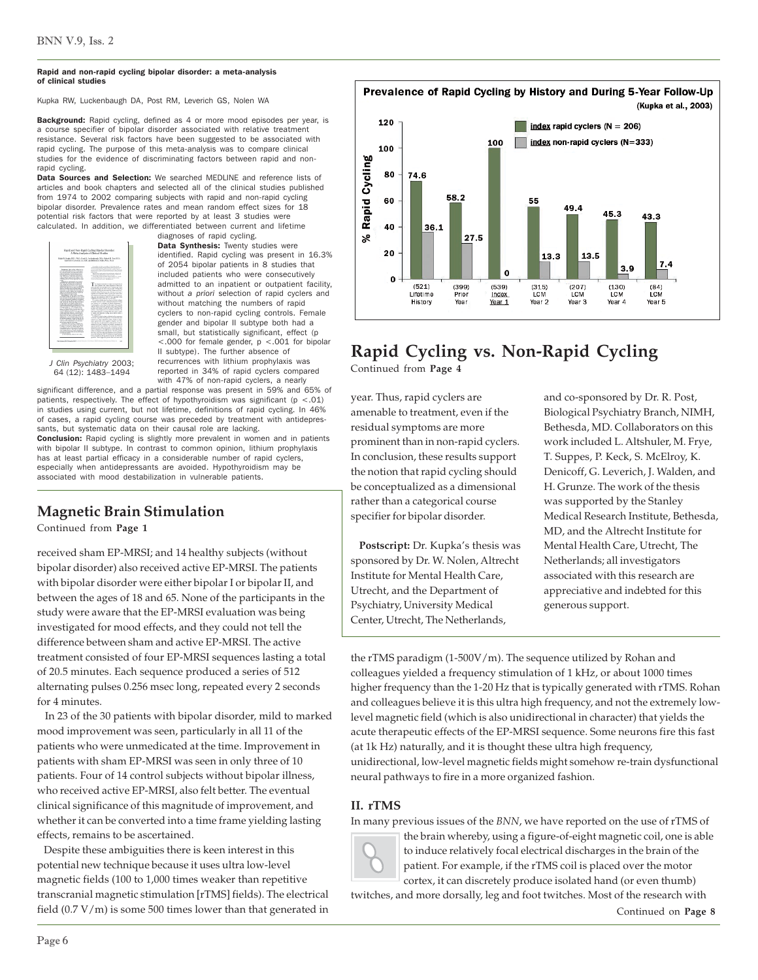#### Rapid and non-rapid cycling bipolar disorder: a meta-analysis of clinical studies

Kupka RW, Luckenbaugh DA, Post RM, Leverich GS, Nolen WA

Background: Rapid cycling, defined as 4 or more mood episodes per year, is a course specifier of bipolar disorder associated with relative treatment resistance. Several risk factors have been suggested to be associated with rapid cycling. The purpose of this meta-analysis was to compare clinical studies for the evidence of discriminating factors between rapid and nonrapid cycling.

Data Sources and Selection: We searched MEDLINE and reference lists of articles and book chapters and selected all of the clinical studies published from 1974 to 2002 comparing subjects with rapid and non-rapid cycling bipolar disorder. Prevalence rates and mean random effect sizes for 18 potential risk factors that were reported by at least 3 studies were calculated. In addition, we differentiated between current and lifetime



diagnoses of rapid cycling. Data Synthesis: Twenty studies were identified. Rapid cycling was present in 16.3% of 2054 bipolar patients in 8 studies that included patients who were consecutively admitted to an inpatient or outpatient facility, without *a priori* selection of rapid cyclers and without matching the numbers of rapid cyclers to non-rapid cycling controls. Female gender and bipolar II subtype both had a small, but statistically significant, effect (p <.000 for female gender, p <.001 for bipolar II subtype). The further absence of recurrences with lithium prophylaxis was reported in 34% of rapid cyclers compared

with 47% of non-rapid cyclers, a nearly

*J Clin Psychiatry* 2003; 64 (12): 1483–1494

significant difference, and a partial response was present in 59% and 65% of patients, respectively. The effect of hypothyroidism was significant ( $p < .01$ ) in studies using current, but not lifetime, definitions of rapid cycling. In 46% of cases, a rapid cycling course was preceded by treatment with antidepressants, but systematic data on their causal role are lacking. Conclusion: Rapid cycling is slightly more prevalent in women and in patients with bipolar II subtype. In contrast to common opinion, lithium prophylaxis has at least partial efficacy in a considerable number of rapid cyclers, especially when antidepressants are avoided. Hypothyroidism may be

## **Magnetic Brain Stimulation**

associated with mood destabilization in vulnerable patients.

Continued from **Page 1**

received sham EP-MRSI; and 14 healthy subjects (without bipolar disorder) also received active EP-MRSI. The patients with bipolar disorder were either bipolar I or bipolar II, and between the ages of 18 and 65. None of the participants in the study were aware that the EP-MRSI evaluation was being investigated for mood effects, and they could not tell the difference between sham and active EP-MRSI. The active treatment consisted of four EP-MRSI sequences lasting a total of 20.5 minutes. Each sequence produced a series of 512 alternating pulses 0.256 msec long, repeated every 2 seconds for 4 minutes.

 In 23 of the 30 patients with bipolar disorder, mild to marked mood improvement was seen, particularly in all 11 of the patients who were unmedicated at the time. Improvement in patients with sham EP-MRSI was seen in only three of 10 patients. Four of 14 control subjects without bipolar illness, who received active EP-MRSI, also felt better. The eventual clinical significance of this magnitude of improvement, and whether it can be converted into a time frame yielding lasting effects, remains to be ascertained.

 Despite these ambiguities there is keen interest in this potential new technique because it uses ultra low-level magnetic fields (100 to 1,000 times weaker than repetitive transcranial magnetic stimulation [rTMS] fields). The electrical field (0.7 V/m) is some 500 times lower than that generated in



# **Rapid Cycling vs. Non-Rapid Cycling**

Continued from **Page 4**

year. Thus, rapid cyclers are amenable to treatment, even if the residual symptoms are more prominent than in non-rapid cyclers. In conclusion, these results support the notion that rapid cycling should be conceptualized as a dimensional rather than a categorical course specifier for bipolar disorder.

 **Postscript:** Dr. Kupka's thesis was sponsored by Dr. W. Nolen, Altrecht Institute for Mental Health Care, Utrecht, and the Department of Psychiatry, University Medical Center, Utrecht, The Netherlands,

and co-sponsored by Dr. R. Post, Biological Psychiatry Branch, NIMH, Bethesda, MD. Collaborators on this work included L. Altshuler, M. Frye, T. Suppes, P. Keck, S. McElroy, K. Denicoff, G. Leverich, J. Walden, and H. Grunze. The work of the thesis was supported by the Stanley Medical Research Institute, Bethesda, MD, and the Altrecht Institute for Mental Health Care, Utrecht, The Netherlands; all investigators associated with this research are appreciative and indebted for this generous support.

the rTMS paradigm (1-500V/m). The sequence utilized by Rohan and colleagues yielded a frequency stimulation of 1 kHz, or about 1000 times higher frequency than the 1-20 Hz that is typically generated with rTMS. Rohan and colleagues believe it is this ultra high frequency, and not the extremely lowlevel magnetic field (which is also unidirectional in character) that yields the acute therapeutic effects of the EP-MRSI sequence. Some neurons fire this fast (at 1k Hz) naturally, and it is thought these ultra high frequency, unidirectional, low-level magnetic fields might somehow re-train dysfunctional neural pathways to fire in a more organized fashion.

## **II. rTMS**

In many previous issues of the *BNN*, we have reported on the use of rTMS of



the brain whereby, using a figure-of-eight magnetic coil, one is able to induce relatively focal electrical discharges in the brain of the patient. For example, if the rTMS coil is placed over the motor cortex, it can discretely produce isolated hand (or even thumb)

twitches, and more dorsally, leg and foot twitches. Most of the research with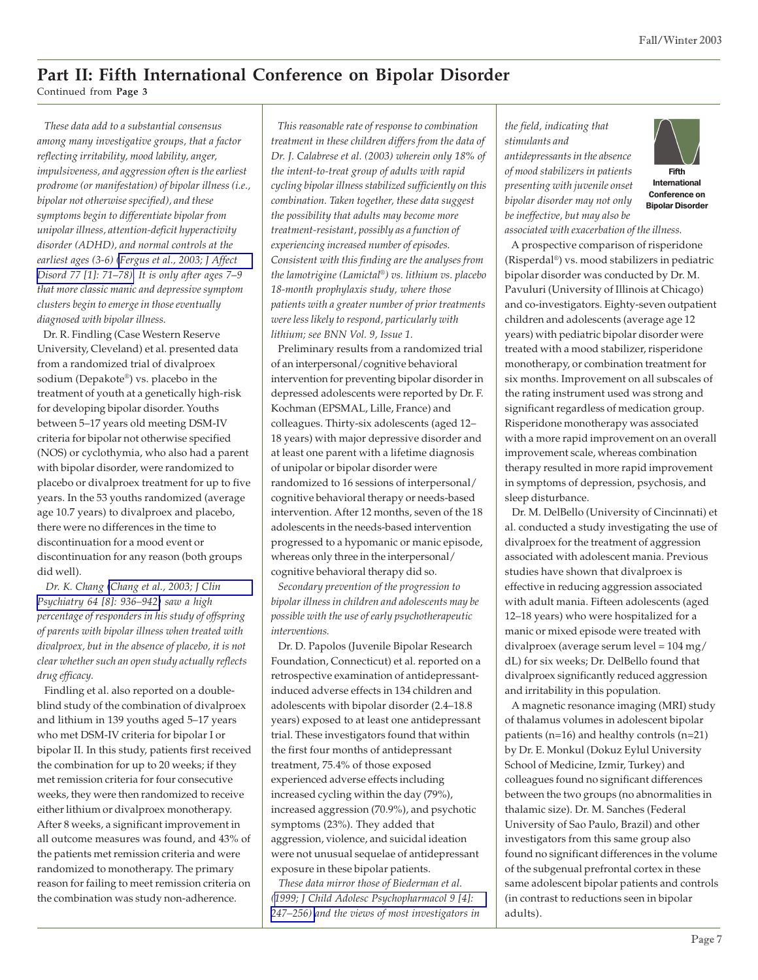## **Part II: Fifth International Conference on Bipolar Disorder**

Continued from **Page 3**

 *These data add to a substantial consensus among many investigative groups, that a factor reflecting irritability, mood lability, anger, impulsiveness, and aggression often is the earliest prodrome (or manifestation) of bipolar illness (i.e., bipolar not otherwise specified), and these symptoms begin to differentiate bipolar from unipolar illness, attention-deficit hyperactivity disorder (ADHD), and normal controls at the earliest ages (3-6) [\(Fergus et al., 2003; J Affect](http://www.ncbi.nlm.nih.gov/entrez/query.fcgi?cmd=Retrieve&db=pubmed&dopt=Abstract&list_uids=14550937) [Disord 77 \[1\]: 71](http://www.ncbi.nlm.nih.gov/entrez/query.fcgi?cmd=Retrieve&db=pubmed&dopt=Abstract&list_uids=14550937)*–*78). It is only after ages 7*–*9 that more classic manic and depressive symptom clusters begin to emerge in those eventually diagnosed with bipolar illness.*

 Dr. R. Findling (Case Western Reserve University, Cleveland) et al. presented data from a randomized trial of divalproex sodium (Depakote®) vs. placebo in the treatment of youth at a genetically high-risk for developing bipolar disorder. Youths between 5–17 years old meeting DSM-IV criteria for bipolar not otherwise specified (NOS) or cyclothymia, who also had a parent with bipolar disorder, were randomized to placebo or divalproex treatment for up to five years. In the 53 youths randomized (average age 10.7 years) to divalproex and placebo, there were no differences in the time to discontinuation for a mood event or discontinuation for any reason (both groups did well).

 *Dr. K. Chang [\(Chang et al., 2003; J Clin](http://www.ncbi.nlm.nih.gov/entrez/query.fcgi?cmd=Retrieve&db=pubmed&dopt=Abstract&list_uids=12927009) [Psychiatry 64 \[8\]: 936–942\)](http://www.ncbi.nlm.nih.gov/entrez/query.fcgi?cmd=Retrieve&db=pubmed&dopt=Abstract&list_uids=12927009) saw a high percentage of responders in his study of offspring of parents with bipolar illness when treated with divalproex, but in the absence of placebo, it is not clear whether such an open study actually reflects drug efficacy.*

 Findling et al. also reported on a doubleblind study of the combination of divalproex and lithium in 139 youths aged 5–17 years who met DSM-IV criteria for bipolar I or bipolar II. In this study, patients first received the combination for up to 20 weeks; if they met remission criteria for four consecutive weeks, they were then randomized to receive either lithium or divalproex monotherapy. After 8 weeks, a significant improvement in all outcome measures was found, and 43% of the patients met remission criteria and were randomized to monotherapy. The primary reason for failing to meet remission criteria on the combination was study non-adherence.

 *This reasonable rate of response to combination treatment in these children differs from the data of Dr. J. Calabrese et al. (2003) wherein only 18% of the intent-to-treat group of adults with rapid cycling bipolar illness stabilized sufficiently on this combination. Taken together, these data suggest the possibility that adults may become more treatment-resistant, possibly as a function of experiencing increased number of episodes. Consistent with this finding are the analyses from the lamotrigine (Lamictal*®*) vs. lithium vs. placebo 18-month prophylaxis study, where those patients with a greater number of prior treatments were less likely to respond, particularly with lithium; see BNN Vol. 9, Issue 1.*

 Preliminary results from a randomized trial of an interpersonal/cognitive behavioral intervention for preventing bipolar disorder in depressed adolescents were reported by Dr. F. Kochman (EPSMAL, Lille, France) and colleagues. Thirty-six adolescents (aged 12– 18 years) with major depressive disorder and at least one parent with a lifetime diagnosis of unipolar or bipolar disorder were randomized to 16 sessions of interpersonal/ cognitive behavioral therapy or needs-based intervention. After 12 months, seven of the 18 adolescents in the needs-based intervention progressed to a hypomanic or manic episode, whereas only three in the interpersonal/ cognitive behavioral therapy did so.

 *Secondary prevention of the progression to bipolar illness in children and adolescents may be possible with the use of early psychotherapeutic interventions.*

 Dr. D. Papolos (Juvenile Bipolar Research Foundation, Connecticut) et al. reported on a retrospective examination of antidepressantinduced adverse effects in 134 children and adolescents with bipolar disorder (2.4–18.8 years) exposed to at least one antidepressant trial. These investigators found that within the first four months of antidepressant treatment, 75.4% of those exposed experienced adverse effects including increased cycling within the day (79%), increased aggression (70.9%), and psychotic symptoms (23%). They added that aggression, violence, and suicidal ideation were not unusual sequelae of antidepressant exposure in these bipolar patients.

 *These data mirror those of Biederman et al. ([1999; J Child Adolesc Psychopharmacol 9 \[4\]:](http://www.ncbi.nlm.nih.gov/entrez/query.fcgi?cmd=Retrieve&db=pubmed&dopt=Abstract&list_uids=10630454) [247–256\)](http://www.ncbi.nlm.nih.gov/entrez/query.fcgi?cmd=Retrieve&db=pubmed&dopt=Abstract&list_uids=10630454) and the views of most investigators in*

*the field, indicating that stimulants and antidepressants in the absence of mood stabilizers in patients presenting with juvenile onset bipolar disorder may not only be ineffective, but may also be*



Conference on Bipolar Disorder

*associated with exacerbation of the illness.*

 A prospective comparison of risperidone (Risperdal®) vs. mood stabilizers in pediatric bipolar disorder was conducted by Dr. M. Pavuluri (University of Illinois at Chicago) and co-investigators. Eighty-seven outpatient children and adolescents (average age 12 years) with pediatric bipolar disorder were treated with a mood stabilizer, risperidone monotherapy, or combination treatment for six months. Improvement on all subscales of the rating instrument used was strong and significant regardless of medication group. Risperidone monotherapy was associated with a more rapid improvement on an overall improvement scale, whereas combination therapy resulted in more rapid improvement in symptoms of depression, psychosis, and sleep disturbance.

 Dr. M. DelBello (University of Cincinnati) et al. conducted a study investigating the use of divalproex for the treatment of aggression associated with adolescent mania. Previous studies have shown that divalproex is effective in reducing aggression associated with adult mania. Fifteen adolescents (aged 12–18 years) who were hospitalized for a manic or mixed episode were treated with divalproex (average serum level = 104 mg/ dL) for six weeks; Dr. DelBello found that divalproex significantly reduced aggression and irritability in this population.

 A magnetic resonance imaging (MRI) study of thalamus volumes in adolescent bipolar patients (n=16) and healthy controls (n=21) by Dr. E. Monkul (Dokuz Eylul University School of Medicine, Izmir, Turkey) and colleagues found no significant differences between the two groups (no abnormalities in thalamic size). Dr. M. Sanches (Federal University of Sao Paulo, Brazil) and other investigators from this same group also found no significant differences in the volume of the subgenual prefrontal cortex in these same adolescent bipolar patients and controls (in contrast to reductions seen in bipolar adults).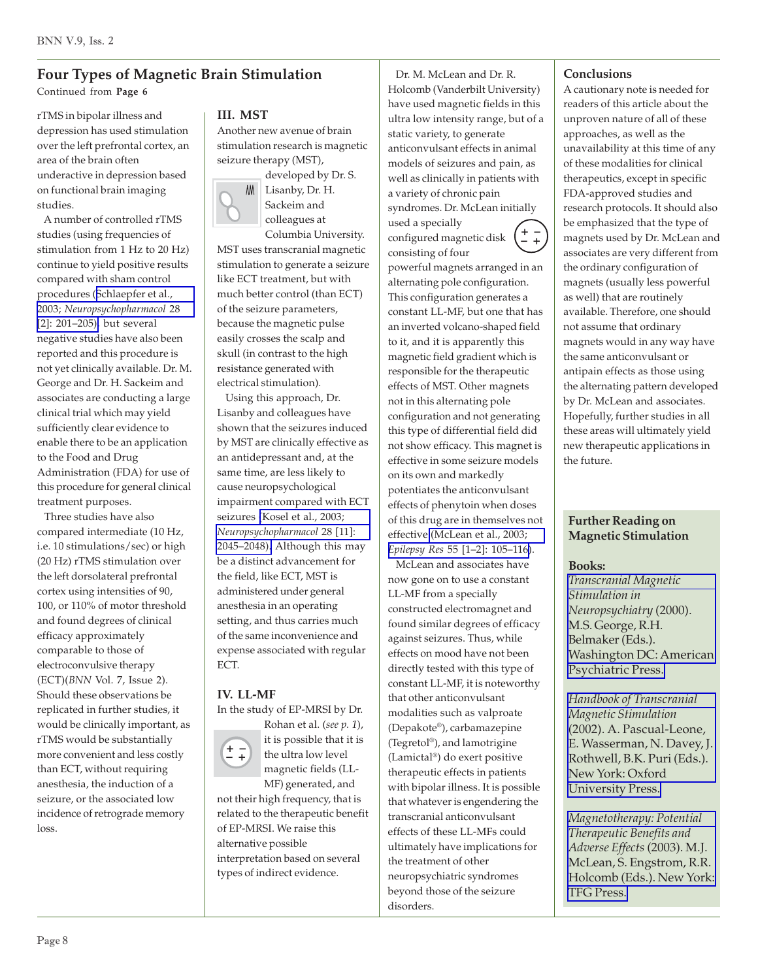## **Four Types of Magnetic Brain Stimulation**

Continued from **Page 6**

rTMS in bipolar illness and depression has used stimulation over the left prefrontal cortex, an area of the brain often underactive in depression based on functional brain imaging studies.

 A number of controlled rTMS studies (using frequencies of stimulation from 1 Hz to 20 Hz) continue to yield positive results compared with sham control procedures ([Schlaepfer et al.,](http://www.ncbi.nlm.nih.gov/entrez/query.fcgi?cmd=Retrieve&db=pubmed&dopt=Abstract&list_uids=12589372) 2003; *[Neuropsychopharmacol](http://www.ncbi.nlm.nih.gov/entrez/query.fcgi?cmd=Retrieve&db=pubmed&dopt=Abstract&list_uids=12589372)* 28 [\[2\]: 201–205\),](http://www.ncbi.nlm.nih.gov/entrez/query.fcgi?cmd=Retrieve&db=pubmed&dopt=Abstract&list_uids=12589372) but several negative studies have also been reported and this procedure is not yet clinically available. Dr. M. George and Dr. H. Sackeim and associates are conducting a large clinical trial which may yield sufficiently clear evidence to enable there to be an application to the Food and Drug Administration (FDA) for use of this procedure for general clinical treatment purposes.

 Three studies have also compared intermediate (10 Hz, i.e. 10 stimulations/sec) or high (20 Hz) rTMS stimulation over the left dorsolateral prefrontal cortex using intensities of 90, 100, or 110% of motor threshold and found degrees of clinical efficacy approximately comparable to those of electroconvulsive therapy (ECT)(*BNN* Vol. 7, Issue 2). Should these observations be replicated in further studies, it would be clinically important, as rTMS would be substantially more convenient and less costly than ECT, without requiring anesthesia, the induction of a seizure, or the associated low incidence of retrograde memory loss.

## **III. MST**

Another new avenue of brain stimulation research is magnetic seizure therapy (MST),





Columbia University. MST uses transcranial magnetic stimulation to generate a seizure like ECT treatment, but with much better control (than ECT) of the seizure parameters, because the magnetic pulse easily crosses the scalp and skull (in contrast to the high resistance generated with electrical stimulation).

 Using this approach, Dr. Lisanby and colleagues have shown that the seizures induced by MST are clinically effective as an antidepressant and, at the same time, are less likely to cause neuropsychological impairment compared with ECT seizures [\(Kosel et al., 2003;](http://www.ncbi.nlm.nih.gov/entrez/query.fcgi?cmd=Retrieve&db=pubmed&dopt=Abstract&list_uids=12942146) *[Neuropsychopharmacol](http://www.ncbi.nlm.nih.gov/entrez/query.fcgi?cmd=Retrieve&db=pubmed&dopt=Abstract&list_uids=12942146)* 28 [11]: [2045–2048\).](http://www.ncbi.nlm.nih.gov/entrez/query.fcgi?cmd=Retrieve&db=pubmed&dopt=Abstract&list_uids=12942146) Although this may be a distinct advancement for the field, like ECT, MST is administered under general anesthesia in an operating setting, and thus carries much of the same inconvenience and expense associated with regular ECT.

## **IV. LL-MF**

**+ –**

In the study of EP-MRSI by Dr. Rohan et al. (*see p. 1*),



MF) generated, and not their high frequency, that is related to the therapeutic benefit of EP-MRSI. We raise this alternative possible interpretation based on several types of indirect evidence.

 Dr. M. McLean and Dr. R. Holcomb (Vanderbilt University) have used magnetic fields in this ultra low intensity range, but of a static variety, to generate anticonvulsant effects in animal models of seizures and pain, as well as clinically in patients with a variety of chronic pain

syndromes. Dr. McLean initially used a specially



magnetic field gradient which is responsible for the therapeutic effects of MST. Other magnets not in this alternating pole configuration and not generating this type of differential field did not show efficacy. This magnet is effective in some seizure models on its own and markedly potentiates the anticonvulsant effects of phenytoin when doses of this drug are in themselves not effective [\(McLean et al., 2003;](http://www.ncbi.nlm.nih.gov/entrez/query.fcgi?cmd=Retrieve&db=pubmed&dopt=Abstract&list_uids=12948620) *Epilepsy Res* [55 \[1–2\]: 105–116\)](http://www.ncbi.nlm.nih.gov/entrez/query.fcgi?cmd=Retrieve&db=pubmed&dopt=Abstract&list_uids=12948620).

 McLean and associates have now gone on to use a constant LL-MF from a specially constructed electromagnet and found similar degrees of efficacy against seizures. Thus, while effects on mood have not been directly tested with this type of constant LL-MF, it is noteworthy that other anticonvulsant modalities such as valproate (Depakote®), carbamazepine (Tegretol®), and lamotrigine (Lamictal®) do exert positive therapeutic effects in patients with bipolar illness. It is possible that whatever is engendering the transcranial anticonvulsant effects of these LL-MFs could ultimately have implications for the treatment of other neuropsychiatric syndromes beyond those of the seizure disorders.

## **Conclusions**

A cautionary note is needed for readers of this article about the unproven nature of all of these approaches, as well as the unavailability at this time of any of these modalities for clinical therapeutics, except in specific FDA-approved studies and research protocols. It should also be emphasized that the type of magnets used by Dr. McLean and associates are very different from the ordinary configuration of magnets (usually less powerful as well) that are routinely available. Therefore, one should not assume that ordinary magnets would in any way have the same anticonvulsant or antipain effects as those using the alternating pattern developed by Dr. McLean and associates. Hopefully, further studies in all these areas will ultimately yield new therapeutic applications in the future.

## **Further Reading on Magnetic Stimulation**

## **Books:**

*[Transcranial Magnetic](http://www.appi.org/book.cfm?id=8948) Stimulation in Neuropsychiatry* (2000). M.S. George, R.H. Belmaker (Eds.). [Washington DC: American](http://www.appi.org/book.cfm?id=8948) [Psychiatric Press.](http://www.appi.org/book.cfm?id=8948)

*[Handbook of Transcranial](http://www.us.oup.com/us/catalog/general/subject/Medicine/Neuroscience/?view=usa&ci=0340720093#titledescription) Magnetic Stimulation* (2002). A. Pascual-Leone, [E. Wasserman, N. Davey, J.](http://www.us.oup.com/us/catalog/general/subject/Medicine/Neuroscience/?view=usa&ci=0340720093#titledescription) Rothwell, B.K. Puri (Eds.). New York: Oxford [University Press.](http://www.us.oup.com/us/catalog/general/subject/Medicine/Neuroscience/?view=usa&ci=0340720093#titledescription)

*[Magnetotherapy: Potential](http://magnetotherapy.spellgen.com) Therapeutic Benefits and Adverse Effects* (2003). M.J. McLean, S. Engstrom, R.R. [Holcomb \(Eds.\). New York:](http://magnetotherapy.spellgen.com) [TFG Press.](http://magnetotherapy.spellgen.com)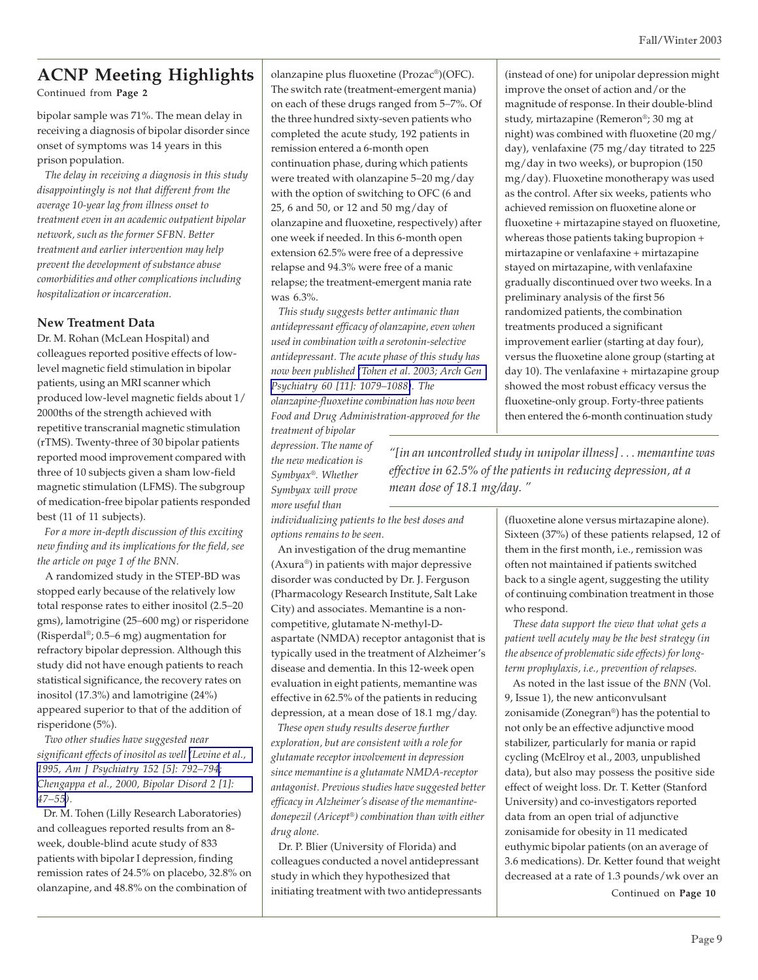Continued from **Page 2**

bipolar sample was 71%. The mean delay in receiving a diagnosis of bipolar disorder since onset of symptoms was 14 years in this prison population.

 *The delay in receiving a diagnosis in this study disappointingly is not that different from the average 10-year lag from illness onset to treatment even in an academic outpatient bipolar network, such as the former SFBN. Better treatment and earlier intervention may help prevent the development of substance abuse comorbidities and other complications including hospitalization or incarceration.*

#### **New Treatment Data**

Dr. M. Rohan (McLean Hospital) and colleagues reported positive effects of lowlevel magnetic field stimulation in bipolar patients, using an MRI scanner which produced low-level magnetic fields about 1/ 2000ths of the strength achieved with repetitive transcranial magnetic stimulation (rTMS). Twenty-three of 30 bipolar patients reported mood improvement compared with three of 10 subjects given a sham low-field magnetic stimulation (LFMS). The subgroup of medication-free bipolar patients responded best (11 of 11 subjects).

 *For a more in-depth discussion of this exciting new finding and its implications for the field, see the article on page 1 of the BNN.*

 A randomized study in the STEP-BD was stopped early because of the relatively low total response rates to either inositol (2.5*–*20 gms), lamotrigine (25*–*600 mg) or risperidone (Risperdal®; 0.5*–*6 mg) augmentation for refractory bipolar depression. Although this study did not have enough patients to reach statistical significance, the recovery rates on inositol (17.3%) and lamotrigine (24%) appeared superior to that of the addition of risperidone (5%).

 *Two other studies have suggested near significant effects of inositol as well [\(Levine et al.,](http://www.ncbi.nlm.nih.gov/entrez/query.fcgi?cmd=Retrieve&db=pubmed&dopt=Abstract&list_uids=7726322) [1995, Am J Psychiatry 152 \[5\]: 792–794](http://www.ncbi.nlm.nih.gov/entrez/query.fcgi?cmd=Retrieve&db=pubmed&dopt=Abstract&list_uids=7726322); [Chengappa et al., 2000, Bipolar Disord 2 \[1\]:](http://www.ncbi.nlm.nih.gov/entrez/query.fcgi?cmd=Retrieve&db=pubmed&dopt=Abstract&list_uids=11254020) [47–55](http://www.ncbi.nlm.nih.gov/entrez/query.fcgi?cmd=Retrieve&db=pubmed&dopt=Abstract&list_uids=11254020)).*

 Dr. M. Tohen (Lilly Research Laboratories) and colleagues reported results from an 8 week, double-blind acute study of 833 patients with bipolar I depression, finding remission rates of 24.5% on placebo, 32.8% on olanzapine, and 48.8% on the combination of

olanzapine plus fluoxetine (Prozac®)(OFC). The switch rate (treatment-emergent mania) on each of these drugs ranged from 5*–*7%. Of the three hundred sixty-seven patients who completed the acute study, 192 patients in remission entered a 6-month open continuation phase, during which patients were treated with olanzapine 5*–*20 mg/day with the option of switching to OFC (6 and 25, 6 and 50, or 12 and 50 mg/day of olanzapine and fluoxetine, respectively) after one week if needed. In this 6-month open extension 62.5% were free of a depressive relapse and 94.3% were free of a manic relapse; the treatment-emergent mania rate was 6.3%.

 *This study suggests better antimanic than antidepressant efficacy of olanzapine, even when used in combination with a serotonin-selective antidepressant. The acute phase of this study has now been published [\(Tohen et al. 2003; Arch Gen](http://www.ncbi.nlm.nih.gov/entrez/query.fcgi?cmd=Retrieve&db=pubmed&dopt=Abstract&list_uids=14609883) [Psychiatry 60 \[11\]: 1079–1088\)](http://www.ncbi.nlm.nih.gov/entrez/query.fcgi?cmd=Retrieve&db=pubmed&dopt=Abstract&list_uids=14609883). The olanzapine-fluoxetine combination has now been Food and Drug Administration-approved for the*

*treatment of bipolar depression. The name of the new medication is Symbyax®. Whether Symbyax will prove more useful than*

*individualizing patients to the best doses and options remains to be seen.*

 An investigation of the drug memantine (Axura®) in patients with major depressive disorder was conducted by Dr. J. Ferguson (Pharmacology Research Institute, Salt Lake City) and associates. Memantine is a noncompetitive, glutamate N-methyl-Daspartate (NMDA) receptor antagonist that is typically used in the treatment of Alzheimer's disease and dementia. In this 12-week open evaluation in eight patients, memantine was effective in 62.5% of the patients in reducing depression, at a mean dose of 18.1 mg/day.

 *These open study results deserve further exploration, but are consistent with a role for glutamate receptor involvement in depression since memantine is a glutamate NMDA-receptor antagonist. Previous studies have suggested better efficacy in Alzheimer's disease of the memantinedonepezil (Aricept®) combination than with either drug alone.*

 Dr. P. Blier (University of Florida) and colleagues conducted a novel antidepressant study in which they hypothesized that initiating treatment with two antidepressants (instead of one) for unipolar depression might improve the onset of action and/or the magnitude of response. In their double-blind study, mirtazapine (Remeron®; 30 mg at night) was combined with fluoxetine (20 mg/ day), venlafaxine (75 mg/day titrated to 225 mg/day in two weeks), or bupropion (150 mg/day). Fluoxetine monotherapy was used as the control. After six weeks, patients who achieved remission on fluoxetine alone or fluoxetine + mirtazapine stayed on fluoxetine, whereas those patients taking bupropion + mirtazapine or venlafaxine + mirtazapine stayed on mirtazapine, with venlafaxine gradually discontinued over two weeks. In a preliminary analysis of the first 56 randomized patients, the combination treatments produced a significant improvement earlier (starting at day four), versus the fluoxetine alone group (starting at day 10). The venlafaxine + mirtazapine group showed the most robust efficacy versus the fluoxetine-only group. Forty-three patients then entered the 6-month continuation study

*"[in an uncontrolled study in unipolar illness] . . . memantine was effective in 62.5% of the patients in reducing depression, at a mean dose of 18.1 mg/day. "*

> (fluoxetine alone versus mirtazapine alone). Sixteen (37%) of these patients relapsed, 12 of them in the first month, i.e., remission was often not maintained if patients switched back to a single agent, suggesting the utility of continuing combination treatment in those who respond.

 *These data support the view that what gets a patient well acutely may be the best strategy (in the absence of problematic side effects) for longterm prophylaxis, i.e., prevention of relapses.*

 As noted in the last issue of the *BNN* (Vol. 9, Issue 1), the new anticonvulsant zonisamide (Zonegran®) has the potential to not only be an effective adjunctive mood stabilizer, particularly for mania or rapid cycling (McElroy et al., 2003, unpublished data), but also may possess the positive side effect of weight loss. Dr. T. Ketter (Stanford University) and co-investigators reported data from an open trial of adjunctive zonisamide for obesity in 11 medicated euthymic bipolar patients (on an average of 3.6 medications). Dr. Ketter found that weight decreased at a rate of 1.3 pounds/wk over an

Continued on **Page 10**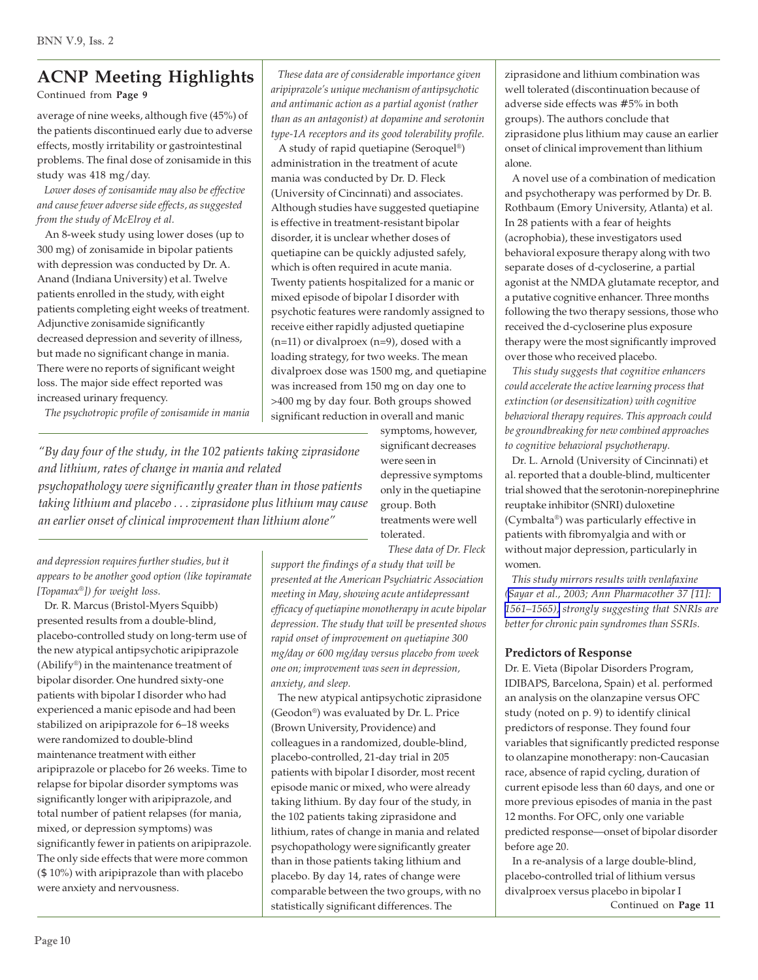Continued from **Page 9**

average of nine weeks, although five (45%) of the patients discontinued early due to adverse effects, mostly irritability or gastrointestinal problems. The final dose of zonisamide in this study was 418 mg/day.

 *Lower doses of zonisamide may also be effective and cause fewer adverse side effects, as suggested from the study of McElroy et al.*

 An 8-week study using lower doses (up to 300 mg) of zonisamide in bipolar patients with depression was conducted by Dr. A. Anand (Indiana University) et al. Twelve patients enrolled in the study, with eight patients completing eight weeks of treatment. Adjunctive zonisamide significantly decreased depression and severity of illness, but made no significant change in mania. There were no reports of significant weight loss. The major side effect reported was increased urinary frequency.

 *The psychotropic profile of zonisamide in mania*

*"By day four of the study, in the 102 patients taking ziprasidone and lithium, rates of change in mania and related psychopathology were significantly greater than in those patients taking lithium and placebo . . . ziprasidone plus lithium may cause an earlier onset of clinical improvement than lithium alone"*

*and depression requires further studies, but it appears to be another good option (like topiramate [Topamax®]) for weight loss.*

 Dr. R. Marcus (Bristol-Myers Squibb) presented results from a double-blind, placebo-controlled study on long-term use of the new atypical antipsychotic aripiprazole (Abilify®) in the maintenance treatment of bipolar disorder. One hundred sixty-one patients with bipolar I disorder who had experienced a manic episode and had been stabilized on aripiprazole for 6–18 weeks were randomized to double-blind maintenance treatment with either aripiprazole or placebo for 26 weeks. Time to relapse for bipolar disorder symptoms was significantly longer with aripiprazole, and total number of patient relapses (for mania, mixed, or depression symptoms) was significantly fewer in patients on aripiprazole. The only side effects that were more common (\$ 10%) with aripiprazole than with placebo were anxiety and nervousness.

 *These data are of considerable importance given aripiprazole's unique mechanism of antipsychotic and antimanic action as a partial agonist (rather than as an antagonist) at dopamine and serotonin type-1A receptors and its good tolerability profile.*

 A study of rapid quetiapine (Seroquel®) administration in the treatment of acute mania was conducted by Dr. D. Fleck (University of Cincinnati) and associates. Although studies have suggested quetiapine is effective in treatment-resistant bipolar disorder, it is unclear whether doses of quetiapine can be quickly adjusted safely, which is often required in acute mania. Twenty patients hospitalized for a manic or mixed episode of bipolar I disorder with psychotic features were randomly assigned to receive either rapidly adjusted quetiapine  $(n=11)$  or divalproex  $(n=9)$ , dosed with a loading strategy, for two weeks. The mean divalproex dose was 1500 mg, and quetiapine was increased from 150 mg on day one to >400 mg by day four. Both groups showed significant reduction in overall and manic

> symptoms, however, significant decreases were seen in depressive symptoms only in the quetiapine group. Both treatments were well tolerated.  *These data of Dr. Fleck*

*support the findings of a study that will be presented at the American Psychiatric Association meeting in May, showing acute antidepressant efficacy of quetiapine monotherapy in acute bipolar depression. The study that will be presented shows rapid onset of improvement on quetiapine 300 mg/day or 600 mg/day versus placebo from week one on; improvement was seen in depression, anxiety, and sleep.*

 The new atypical antipsychotic ziprasidone (Geodon®) was evaluated by Dr. L. Price (Brown University, Providence) and colleagues in a randomized, double-blind, placebo-controlled, 21-day trial in 205 patients with bipolar I disorder, most recent episode manic or mixed, who were already taking lithium. By day four of the study, in the 102 patients taking ziprasidone and lithium, rates of change in mania and related psychopathology were significantly greater than in those patients taking lithium and placebo. By day 14, rates of change were comparable between the two groups, with no statistically significant differences. The

ziprasidone and lithium combination was well tolerated (discontinuation because of adverse side effects was # 5% in both groups). The authors conclude that ziprasidone plus lithium may cause an earlier onset of clinical improvement than lithium alone.

 A novel use of a combination of medication and psychotherapy was performed by Dr. B. Rothbaum (Emory University, Atlanta) et al. In 28 patients with a fear of heights (acrophobia), these investigators used behavioral exposure therapy along with two separate doses of d-cycloserine, a partial agonist at the NMDA glutamate receptor, and a putative cognitive enhancer. Three months following the two therapy sessions, those who received the d-cycloserine plus exposure therapy were the most significantly improved over those who received placebo.

 *This study suggests that cognitive enhancers could accelerate the active learning process that extinction (or desensitization) with cognitive behavioral therapy requires. This approach could be groundbreaking for new combined approaches to cognitive behavioral psychotherapy.*

 Dr. L. Arnold (University of Cincinnati) et al. reported that a double-blind, multicenter trial showed that the serotonin-norepinephrine reuptake inhibitor (SNRI) duloxetine (Cymbalta®) was particularly effective in patients with fibromyalgia and with or without major depression, particularly in women.

 *This study mirrors results with venlafaxine ([Sayar et al., 2003; Ann Pharmacother 37 \[11\]:](http://www.ncbi.nlm.nih.gov/entrez/query.fcgi?cmd=Retrieve&db=pubmed&dopt=Abstract&list_uids=14565792) [1561–1565\),](http://www.ncbi.nlm.nih.gov/entrez/query.fcgi?cmd=Retrieve&db=pubmed&dopt=Abstract&list_uids=14565792) strongly suggesting that SNRIs are better for chronic pain syndromes than SSRIs.*

## **Predictors of Response**

Dr. E. Vieta (Bipolar Disorders Program, IDIBAPS, Barcelona, Spain) et al. performed an analysis on the olanzapine versus OFC study (noted on p. 9) to identify clinical predictors of response. They found four variables that significantly predicted response to olanzapine monotherapy: non-Caucasian race, absence of rapid cycling, duration of current episode less than 60 days, and one or more previous episodes of mania in the past 12 months. For OFC, only one variable predicted response—onset of bipolar disorder before age 20.

 In a re-analysis of a large double-blind, placebo-controlled trial of lithium versus divalproex versus placebo in bipolar I Continued on **Page 11**

Page 10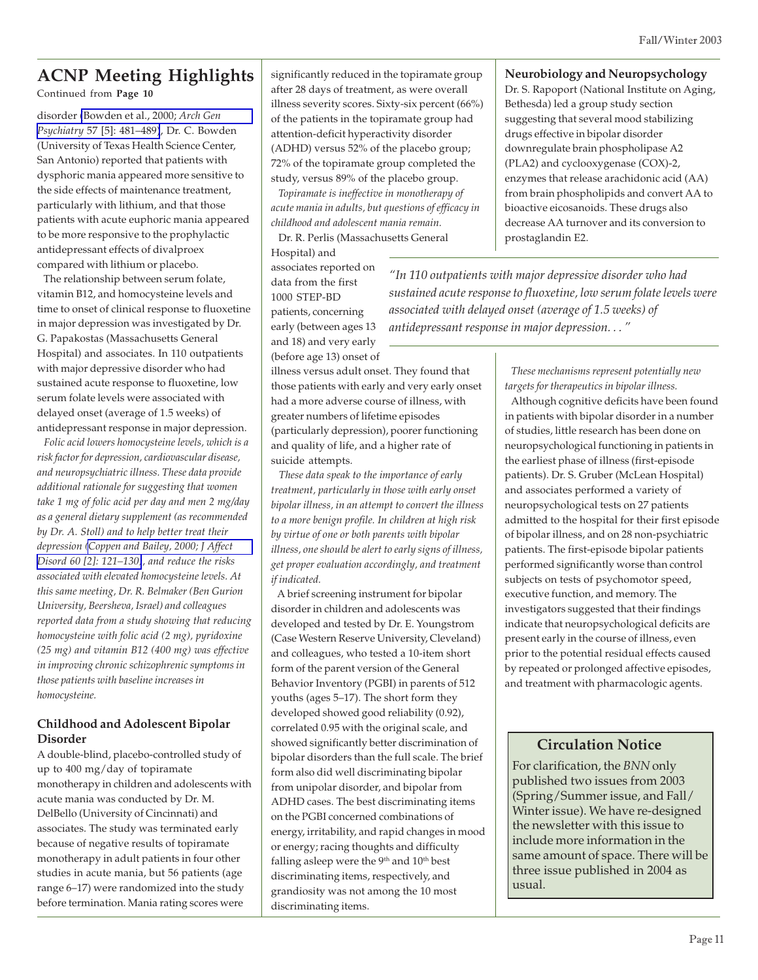Continued from **Page 10**

disorder [\(Bowden et al., 2000;](http://www.ncbi.nlm.nih.gov/entrez/query.fcgi?cmd=Retrieve&db=pubmed&dopt=Abstract&list_uids=10807488) *Arch Gen Psychiatry* [57 \[5\]: 481–489\)](http://www.ncbi.nlm.nih.gov/entrez/query.fcgi?cmd=Retrieve&db=pubmed&dopt=Abstract&list_uids=10807488), Dr. C. Bowden (University of Texas Health Science Center, San Antonio) reported that patients with dysphoric mania appeared more sensitive to the side effects of maintenance treatment, particularly with lithium, and that those patients with acute euphoric mania appeared to be more responsive to the prophylactic antidepressant effects of divalproex compared with lithium or placebo.

 The relationship between serum folate, vitamin B12, and homocysteine levels and time to onset of clinical response to fluoxetine in major depression was investigated by Dr. G. Papakostas (Massachusetts General Hospital) and associates. In 110 outpatients with major depressive disorder who had sustained acute response to fluoxetine, low serum folate levels were associated with delayed onset (average of 1.5 weeks) of antidepressant response in major depression.

 *Folic acid lowers homocysteine levels, which is a risk factor for depression, cardiovascular disease, and neuropsychiatric illness. These data provide additional rationale for suggesting that women take 1 mg of folic acid per day and men 2 mg/day as a general dietary supplement (as recommended by Dr. A. Stoll) and to help better treat their depression [\(Coppen and Bailey, 2000; J Affect](http://www.ncbi.nlm.nih.gov/entrez/query.fcgi?cmd=Retrieve&db=pubmed&dopt=Abstract&list_uids=10967371) [Disord 60 \[2\]: 121–130\)](http://www.ncbi.nlm.nih.gov/entrez/query.fcgi?cmd=Retrieve&db=pubmed&dopt=Abstract&list_uids=10967371), and reduce the risks associated with elevated homocysteine levels. At this same meeting, Dr. R. Belmaker (Ben Gurion University, Beersheva, Israel) and colleagues reported data from a study showing that reducing homocysteine with folic acid (2 mg), pyridoxine (25 mg) and vitamin B12 (400 mg) was effective in improving chronic schizophrenic symptoms in those patients with baseline increases in homocysteine.*

## **Childhood and Adolescent Bipolar Disorder**

A double-blind, placebo-controlled study of up to 400 mg/day of topiramate monotherapy in children and adolescents with acute mania was conducted by Dr. M. DelBello (University of Cincinnati) and associates. The study was terminated early because of negative results of topiramate monotherapy in adult patients in four other studies in acute mania, but 56 patients (age range 6–17) were randomized into the study before termination. Mania rating scores were

significantly reduced in the topiramate group after 28 days of treatment, as were overall illness severity scores. Sixty-six percent (66%) of the patients in the topiramate group had attention-deficit hyperactivity disorder (ADHD) versus 52% of the placebo group; 72% of the topiramate group completed the study, versus 89% of the placebo group.

 *Topiramate is ineffective in monotherapy of acute mania in adults, but questions of efficacy in childhood and adolescent mania remain.* Dr. R. Perlis (Massachusetts General

Hospital) and associates reported on data from the first 1000 STEP-BD patients, concerning early (between ages 13 and 18) and very early (before age 13) onset of

illness versus adult onset. They found that those patients with early and very early onset had a more adverse course of illness, with greater numbers of lifetime episodes (particularly depression), poorer functioning and quality of life, and a higher rate of suicide attempts.

 *These data speak to the importance of early treatment, particularly in those with early onset bipolar illness, in an attempt to convert the illness to a more benign profile. In children at high risk by virtue of one or both parents with bipolar illness, one should be alert to early signs of illness, get proper evaluation accordingly, and treatment if indicated.*

 A brief screening instrument for bipolar disorder in children and adolescents was developed and tested by Dr. E. Youngstrom (Case Western Reserve University, Cleveland) and colleagues, who tested a 10-item short form of the parent version of the General Behavior Inventory (PGBI) in parents of 512 youths (ages 5–17). The short form they developed showed good reliability (0.92), correlated 0.95 with the original scale, and showed significantly better discrimination of bipolar disorders than the full scale. The brief form also did well discriminating bipolar from unipolar disorder, and bipolar from ADHD cases. The best discriminating items on the PGBI concerned combinations of energy, irritability, and rapid changes in mood or energy; racing thoughts and difficulty falling asleep were the  $9<sup>th</sup>$  and  $10<sup>th</sup>$  best discriminating items, respectively, and grandiosity was not among the 10 most discriminating items.

#### **Neurobiology and Neuropsychology**

Dr. S. Rapoport (National Institute on Aging, Bethesda) led a group study section suggesting that several mood stabilizing drugs effective in bipolar disorder downregulate brain phospholipase A2 (PLA2) and cyclooxygenase (COX)-2, enzymes that release arachidonic acid (AA) from brain phospholipids and convert AA to bioactive eicosanoids. These drugs also decrease AA turnover and its conversion to prostaglandin E2.

*"In 110 outpatients with major depressive disorder who had sustained acute response to fluoxetine, low serum folate levels were associated with delayed onset (average of 1.5 weeks) of antidepressant response in major depression. . . "*

> *These mechanisms represent potentially new targets for therapeutics in bipolar illness.*

 Although cognitive deficits have been found in patients with bipolar disorder in a number of studies, little research has been done on neuropsychological functioning in patients in the earliest phase of illness (first-episode patients). Dr. S. Gruber (McLean Hospital) and associates performed a variety of neuropsychological tests on 27 patients admitted to the hospital for their first episode of bipolar illness, and on 28 non-psychiatric patients. The first-episode bipolar patients performed significantly worse than control subjects on tests of psychomotor speed, executive function, and memory. The investigators suggested that their findings indicate that neuropsychological deficits are present early in the course of illness, even prior to the potential residual effects caused by repeated or prolonged affective episodes, and treatment with pharmacologic agents.

## **Circulation Notice**

For clarification, the *BNN* only published two issues from 2003 (Spring/Summer issue, and Fall/ Winter issue). We have re-designed the newsletter with this issue to include more information in the same amount of space. There will be three issue published in 2004 as usual.